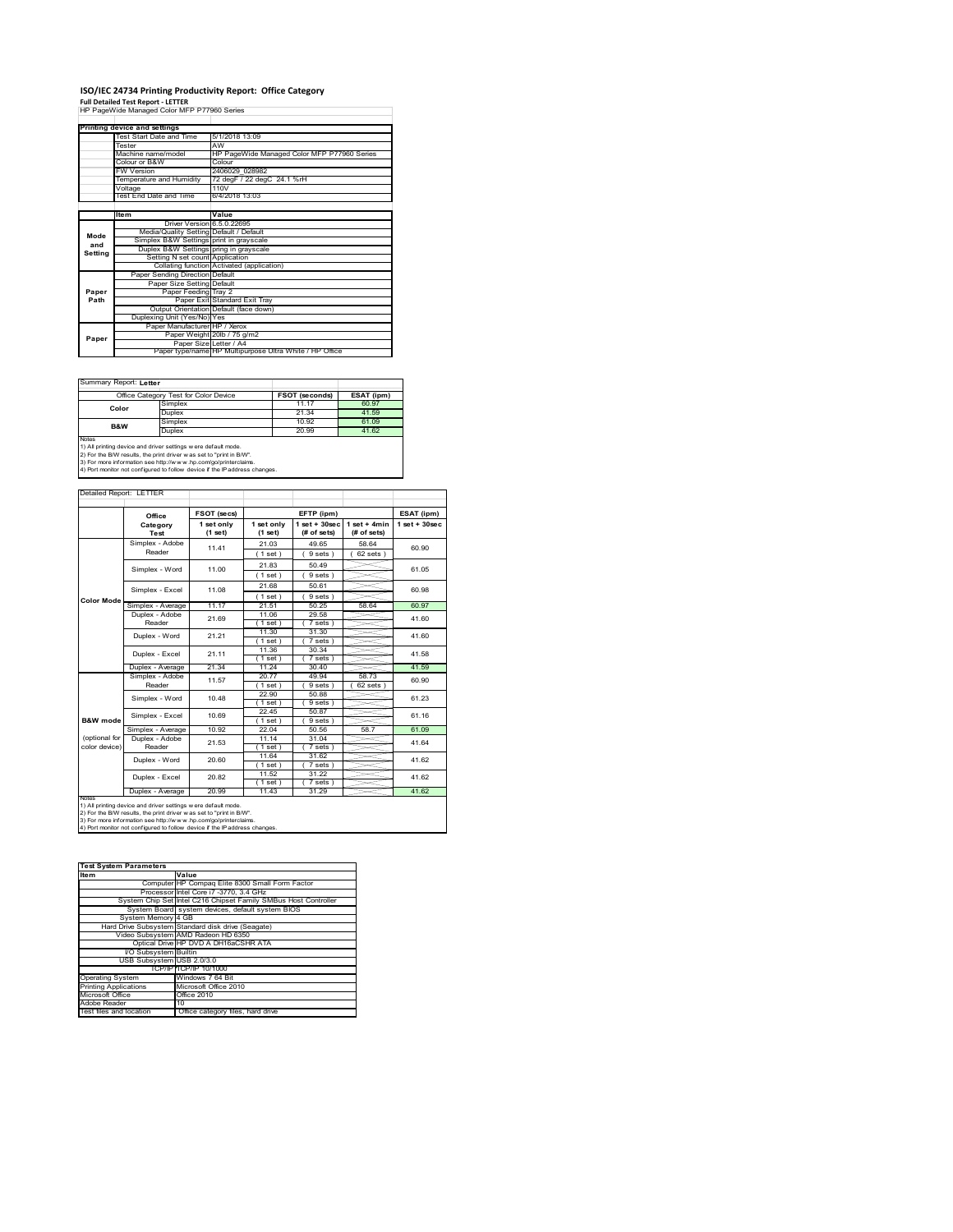# **ISO/IEC 24734 Printing Productivity Report: Office Category Full Detailed Test Report ‐ LETTER** HP PageWide Managed Color MFP P77960 Series

|         | HP PageWide Managed Color MFP P77960 Series |                                                         |  |  |
|---------|---------------------------------------------|---------------------------------------------------------|--|--|
|         |                                             |                                                         |  |  |
|         | Printing device and settings                |                                                         |  |  |
|         | Test Start Date and Time                    | 5/1/2018 13:09                                          |  |  |
|         | Tester                                      | AW                                                      |  |  |
|         | Machine name/model                          | HP PageWide Managed Color MFP P77960 Series             |  |  |
|         | Colour or B&W                               | Colour                                                  |  |  |
|         | <b>FW Version</b>                           | 2406029 028982                                          |  |  |
|         | Temperature and Humidity                    | 72 degF / 22 degC 24.1 %rH                              |  |  |
|         | Voltage                                     | 110V                                                    |  |  |
|         | Test End Date and Time                      | 6/4/2018 13:03                                          |  |  |
|         |                                             |                                                         |  |  |
|         | <b>Item</b>                                 | Value                                                   |  |  |
|         | Driver Version 6.5.0.22695                  |                                                         |  |  |
| Mode    | Media/Quality Setting Default / Default     |                                                         |  |  |
| and     | Simplex B&W Settings print in grayscale     |                                                         |  |  |
| Setting | Duplex B&W Settings pring in grayscale      |                                                         |  |  |
|         | Setting N set count Application             |                                                         |  |  |
|         |                                             | Collating function Activated (application)              |  |  |
|         | Paper Sending Direction Default             |                                                         |  |  |
|         | Paper Size Setting Default                  |                                                         |  |  |
| Paper   | Paper Feeding Tray 2                        |                                                         |  |  |
| Path    |                                             | Paper Exit Standard Exit Tray                           |  |  |
|         |                                             | Output Orientation Default (face down)                  |  |  |
|         | Duplexing Unit (Yes/No) Yes                 |                                                         |  |  |
|         | Paper Manufacturer HP / Xerox               |                                                         |  |  |
| Paper   |                                             | Paper Weight 20lb / 75 g/m2                             |  |  |
|         | Paper Size Letter / A4                      |                                                         |  |  |
|         |                                             | Paper type/name HP Multipurpose Ultra White / HP Office |  |  |

Summary Report: **Letter**

| Office Category Test for Color Device                                      |                 | <b>FSOT (seconds)</b> | ESAT (ipm) |  |
|----------------------------------------------------------------------------|-----------------|-----------------------|------------|--|
|                                                                            | Simplex         | 11.17                 | 60.97      |  |
| Color                                                                      | Duplex          | 21.34                 | 41.59      |  |
| <b>B&amp;W</b>                                                             | Simplex         | 10.92                 | 61.09      |  |
|                                                                            | Duplex<br>20.99 |                       | 41.62      |  |
| Notes                                                                      |                 |                       |            |  |
| 1) All printing device and driver settings w ere default mode.             |                 |                       |            |  |
| 2) For the B/W results, the print driver was set to "print in B/W".        |                 |                       |            |  |
| 3) For more information see http://www.hp.com/go/printerclaims.            |                 |                       |            |  |
| 4) Port monitor not configured to follow device if the IP address changes. |                 |                       |            |  |

| Detailed Report: LETTER        |                           |                       |                       |                                  |                               |                   |
|--------------------------------|---------------------------|-----------------------|-----------------------|----------------------------------|-------------------------------|-------------------|
|                                | Office                    | FSOT (secs)           |                       | EFTP (ipm)                       |                               | ESAT (ipm)        |
|                                | Category<br>Test          | 1 set only<br>(1 set) | 1 set only<br>(1 set) | $1$ set $+30$ sec<br>(# of sets) | $1$ set + 4min<br>(# of sets) | $1$ set $+30$ sec |
|                                | Simplex - Adobe<br>Reader | 11.41                 | 21.03<br>(1 set)      | 49.65<br>9 sets)                 | 58.64<br>$62$ sets $)$        | 60.90             |
|                                | Simplex - Word            | 11.00                 | 21.83<br>(1 set)      | 50.49<br>9 sets)                 |                               | 61.05             |
|                                | Simplex - Excel           | 11.08                 | 21.68<br>(1 set)      | 50.61<br>9 sets)                 |                               | 60.98             |
| <b>Color Mode</b>              | Simplex - Average         | 11.17                 | 21.51                 | 50 25                            | 58.64                         | 60.97             |
|                                | Duplex - Adobe<br>Reader  | 21.69                 | 11.06<br>$1$ set)     | 29.58<br>7 sets)                 |                               | 41.60             |
|                                | Duplex - Word             | 21 21                 | 11.30<br>$1$ set)     | 31.30<br>7 sets)                 |                               | 41.60             |
|                                | Duplex - Excel            | 21.11                 | 11.36<br>$1$ set)     | 30.34<br>7 sets)                 |                               | 41.58             |
|                                | Duplex - Average          | 21.34                 | 11 24                 | 30.40                            |                               | 41.59             |
|                                | Simplex - Adobe<br>Reader | 11.57                 | 20.77<br>(1 set)      | 49.94<br>9 sets)                 | 58.73<br>62 sets              | 60.90             |
|                                | Simplex - Word            | 10.48                 | 22.90<br>(1 set )     | 50.88<br>9 sets)                 |                               | 61.23             |
| B&W mode                       | Simplex - Excel           | 10.69                 | 22.45<br>$1$ set)     | 50.87<br>9 sets)                 |                               | 61.16             |
|                                | Simplex - Average         | 10.92                 | 22.04                 | 50.56                            | 58.7                          | 61.09             |
| (optional for<br>color device) | Duplex - Adobe<br>Reader  | 21.53                 | 11.14<br>(1 set)      | 31.04<br>7 sets)                 |                               | 41.64             |
|                                | Duplex - Word             | 20.60                 | 11.64<br>(1 set)      | 31.62<br>7 sets)                 |                               | 41.62             |
|                                | Duplex - Excel            | 20.82                 | 11.52<br>(1 set)      | 31.22<br>$7 sets$ )              |                               | 41.62             |
| <b>NOtes</b>                   | Duplex - Average          | 20.99                 | 11.43                 | 31.29                            |                               | 41.62             |

notes<br>1) All printing device and driver settings were default mode.<br>2) For the B/W results, the print driver was set to "print in B/W".<br>3) For more information see http://www.hp.com/go/printerclaims.<br>4) Por morator not con

| <b>Test System Parameters</b> |                                                                 |  |  |  |
|-------------------------------|-----------------------------------------------------------------|--|--|--|
| <b>Item</b>                   | Value                                                           |  |  |  |
|                               | Computer HP Compag Elite 8300 Small Form Factor                 |  |  |  |
|                               | Processor Intel Core i7 -3770, 3.4 GHz                          |  |  |  |
|                               | System Chip Set Intel C216 Chipset Family SMBus Host Controller |  |  |  |
|                               | System Board system devices, default system BIOS                |  |  |  |
| System Memory 4 GB            |                                                                 |  |  |  |
|                               | Hard Drive Subsystem Standard disk drive (Seagate)              |  |  |  |
|                               | Video Subsystem AMD Radeon HD 6350                              |  |  |  |
|                               | Optical Drive HP DVD A DH16aCSHR ATA                            |  |  |  |
| I/O Subsystem Builtin         |                                                                 |  |  |  |
| USB Subsystem USB 2.0/3.0     |                                                                 |  |  |  |
|                               | TCP/IPITCP/IP 10/1000                                           |  |  |  |
| <b>Operating System</b>       | Windows 7 64 Bit                                                |  |  |  |
| <b>Printing Applications</b>  | Microsoft Office 2010                                           |  |  |  |
| Microsoft Office              | Office 2010                                                     |  |  |  |
| Adobe Reader                  | 10                                                              |  |  |  |
| Test files and location       | Office category files, hard drive                               |  |  |  |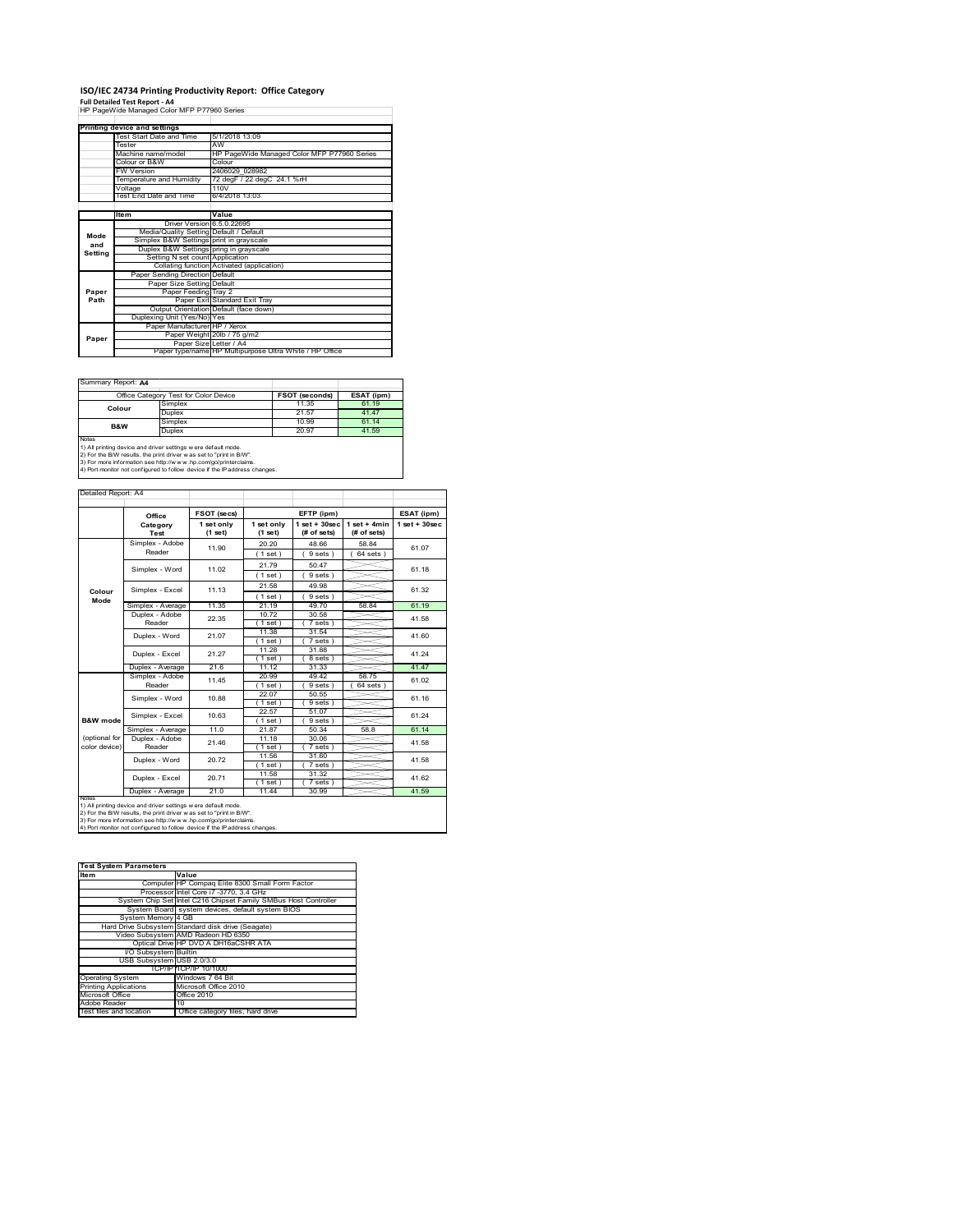### **ISO/IEC 24734 Printing Productivity Report: Office Category**

**Full Detailed Test Report ‐ A4** HP PageWide Managed Color MFP P77960 Series

|         | Printing device and settings            |                                                         |  |  |
|---------|-----------------------------------------|---------------------------------------------------------|--|--|
|         | Test Start Date and Time                | 5/1/2018 13:09                                          |  |  |
|         | Tester                                  | AW                                                      |  |  |
|         | Machine name/model                      | HP PageWide Managed Color MFP P77960 Series             |  |  |
|         | Colour or B&W                           | Colour                                                  |  |  |
|         | FW Version                              | 2406029 028982                                          |  |  |
|         | Temperature and Humidity                | 72 degF / 22 degC 24.1 %rH                              |  |  |
|         | Voltage                                 | 110V                                                    |  |  |
|         | Test End Date and Time                  | 6/4/2018 13:03                                          |  |  |
|         |                                         |                                                         |  |  |
|         | Item                                    | Value                                                   |  |  |
|         | Driver Version 6.5.0.22695              |                                                         |  |  |
| Mode    | Media/Quality Setting Default / Default |                                                         |  |  |
| and     | Simplex B&W Settings print in grayscale |                                                         |  |  |
| Setting | Duplex B&W Settings pring in grayscale  |                                                         |  |  |
|         | Setting N set count Application         |                                                         |  |  |
|         |                                         | Collating function Activated (application)              |  |  |
|         | Paper Sending Direction Default         |                                                         |  |  |
|         | Paper Size Setting Default              |                                                         |  |  |
| Paper   | Paper Feeding Tray 2                    |                                                         |  |  |
| Path    |                                         | Paper Exit Standard Exit Tray                           |  |  |
|         |                                         | Output Orientation Default (face down)                  |  |  |
|         | Duplexing Unit (Yes/No) Yes             |                                                         |  |  |
|         | Paper Manufacturer HP / Xerox           |                                                         |  |  |
| Paper   |                                         | Paper Weight 20lb / 75 g/m2                             |  |  |
|         | Paper Size Letter / A4                  |                                                         |  |  |
|         |                                         | Paper type/name HP Multipurpose Ultra White / HP Office |  |  |

Ï

Summary Report: **A4**

|                                                                     | Office Category Test for Color Device | FSOT (seconds) | ESAT (ipm) |  |  |
|---------------------------------------------------------------------|---------------------------------------|----------------|------------|--|--|
| Colour                                                              | Simplex                               | 11.35          | 61.19      |  |  |
|                                                                     | Duplex                                | 21.57          | 41 47      |  |  |
| B&W                                                                 | Simplex                               | 10.99          | 61 14      |  |  |
|                                                                     | Duplex                                | 20.97          | 41.59      |  |  |
| <b>Notes</b>                                                        |                                       |                |            |  |  |
| 1) All printing device and driver settings w ere default mode.      |                                       |                |            |  |  |
| 2) For the B/W results, the print driver was set to "print in B/W". |                                       |                |            |  |  |

2) For the B/W results, the print driver w as set to "print in B/W".<br>3) For more information see http://w w w .hp.com/go/printerclaims.<br>4) Port monitor not configured to follow device if the IP address changes.

Detailed Report: A4

|                                                                                                                                                                                                                                                                                         | Office                                                         | FSOT (secs)           |                       | EFTP (ipm)                        |                                | ESAT (ipm)              |
|-----------------------------------------------------------------------------------------------------------------------------------------------------------------------------------------------------------------------------------------------------------------------------------------|----------------------------------------------------------------|-----------------------|-----------------------|-----------------------------------|--------------------------------|-------------------------|
|                                                                                                                                                                                                                                                                                         | Category<br>Test                                               | 1 set only<br>(1 set) | 1 set only<br>(1 set) | $1$ set + $30$ sec<br>(# of sets) | $1 set + 4 min$<br>(# of sets) | $1$ set + $30$ sec      |
|                                                                                                                                                                                                                                                                                         | Simplex - Adobe<br>Reader                                      | 11.90                 | 20.20                 | 48.66                             | 58.84<br>$64$ sets $)$         | 61.07                   |
|                                                                                                                                                                                                                                                                                         |                                                                |                       | (1 set)               | 9 sets )                          |                                |                         |
|                                                                                                                                                                                                                                                                                         | Simplex - Word                                                 | 11.02                 | 21 79                 | 50.47                             |                                | 61.18                   |
|                                                                                                                                                                                                                                                                                         |                                                                |                       | (1 set)               | 9 sets                            |                                |                         |
| Colour                                                                                                                                                                                                                                                                                  | Simplex - Excel                                                | 11.13                 | 21.58                 | 49.98                             |                                | 61.32                   |
| Mode                                                                                                                                                                                                                                                                                    |                                                                |                       | (1 set)               | 9 sets 1                          |                                |                         |
|                                                                                                                                                                                                                                                                                         | Simplex - Average                                              | 11.35                 | 21.19                 | 49.70                             | 58.84                          | 61.19                   |
|                                                                                                                                                                                                                                                                                         | Duplex - Adobe                                                 | 22.35                 | 10.72                 | 30.58                             |                                | 41.58                   |
|                                                                                                                                                                                                                                                                                         | Reader                                                         |                       | (1 set )              | 7 sets)                           |                                |                         |
|                                                                                                                                                                                                                                                                                         | Duplex - Word                                                  | 21.07                 | 11.38                 | 31.54                             |                                | 41.60                   |
|                                                                                                                                                                                                                                                                                         |                                                                |                       | 1 set                 | 7 sets                            |                                |                         |
|                                                                                                                                                                                                                                                                                         | Duplex - Excel                                                 | 21 27                 | 11.28                 | 31.88                             |                                | 41.24                   |
|                                                                                                                                                                                                                                                                                         |                                                                |                       | $1$ set)              | 8 sets                            |                                |                         |
|                                                                                                                                                                                                                                                                                         | Duplex - Average                                               | 21.6                  | 11.12                 | 31.33                             |                                | 41.47                   |
|                                                                                                                                                                                                                                                                                         | Simplex - Adobe<br>Reader<br>Simplex - Word<br>Simplex - Excel | 11 45                 | 20.99                 | 49.42                             | 58.75                          | 61.02<br>61 16<br>61 24 |
|                                                                                                                                                                                                                                                                                         |                                                                |                       | (1 set)               | 9 sets                            | 64 sets                        |                         |
|                                                                                                                                                                                                                                                                                         |                                                                | 10.88                 | 22.07                 | 50.55                             |                                |                         |
|                                                                                                                                                                                                                                                                                         |                                                                |                       | (1 set)               | 9 sets )                          |                                |                         |
|                                                                                                                                                                                                                                                                                         |                                                                | 10.63                 | 22.57                 | 51.07                             |                                |                         |
| B&W mode                                                                                                                                                                                                                                                                                |                                                                |                       | (1 set)               | 9 sets)                           |                                |                         |
|                                                                                                                                                                                                                                                                                         | Simplex - Average                                              | 11.0                  | 21.87                 | 50.34                             | 58.8                           | 61.14                   |
| (optional for                                                                                                                                                                                                                                                                           | Duplex - Adobe                                                 | 21.46                 | 11.18                 | 30.06                             |                                | 41.58                   |
| color device)                                                                                                                                                                                                                                                                           | Reader                                                         |                       | (1 set)               | 7 sets 1                          |                                |                         |
|                                                                                                                                                                                                                                                                                         | Duplex - Word                                                  | 20.72                 | 11.56                 | 31.60                             |                                | 41.58                   |
|                                                                                                                                                                                                                                                                                         |                                                                |                       | (1 set)               | 7 sets)                           |                                |                         |
|                                                                                                                                                                                                                                                                                         | Duplex - Excel                                                 | 20.71                 | 11.58                 | 31.32                             |                                | 41.62                   |
|                                                                                                                                                                                                                                                                                         |                                                                |                       | $1$ set)              | 7 sets                            |                                |                         |
| <b>NOtes</b>                                                                                                                                                                                                                                                                            | Duplex - Average                                               | 21.0                  | 11.44                 | 30.99                             |                                | 41.59                   |
| 1) All printing device and driver settings w ere default mode.<br>2) For the B/W results, the print driver w as set to "print in B/W".<br>3) For more information see http://www.hp.com/go/printerclaims.<br>4) Port monitor not configured to follow device if the IP address changes. |                                                                |                       |                       |                                   |                                |                         |

| <b>Test System Parameters</b> |                                                                 |
|-------------------------------|-----------------------------------------------------------------|
| <b>Item</b>                   | Value                                                           |
|                               | Computer HP Compag Elite 8300 Small Form Factor                 |
|                               | Processor Intel Core i7 -3770, 3.4 GHz                          |
|                               | System Chip Set Intel C216 Chipset Family SMBus Host Controller |
|                               | System Board system devices, default system BIOS                |
| System Memory 4 GB            |                                                                 |
|                               | Hard Drive Subsystem Standard disk drive (Seagate)              |
|                               | Video Subsystem AMD Radeon HD 6350                              |
|                               | Optical Drive HP DVD A DH16aCSHR ATA                            |
| <b>VO Subsystem Builtin</b>   |                                                                 |
| USB Subsystem USB 2.0/3.0     |                                                                 |
|                               | TCP/IPITCP/IP 10/1000                                           |
| <b>Operating System</b>       | Windows 7 64 Bit                                                |
| <b>Printing Applications</b>  | Microsoft Office 2010                                           |
| Microsoft Office              | Office 2010                                                     |
| Adobe Reader                  | 10                                                              |
| Test files and location       | Office category files, hard drive                               |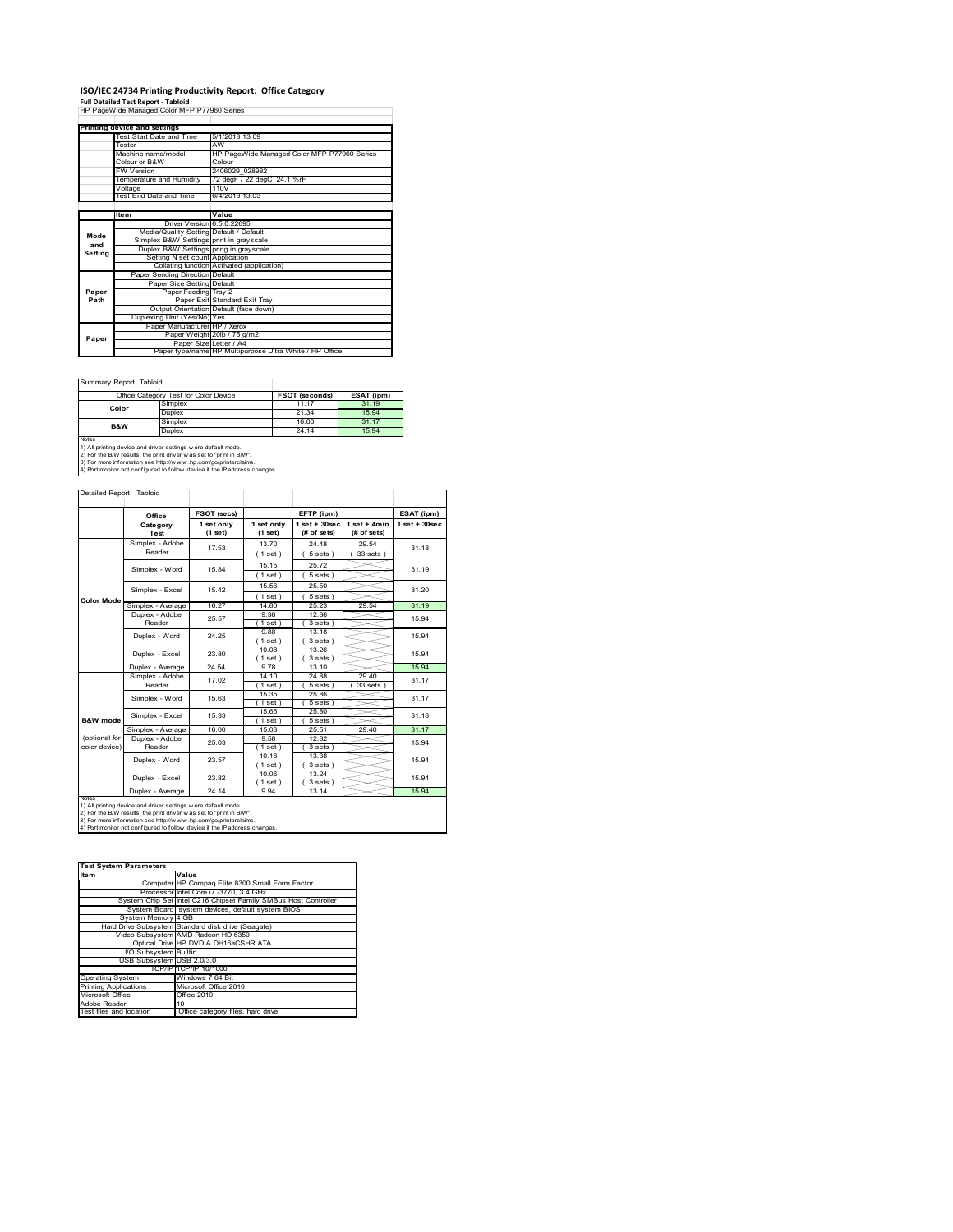### **ISO/IEC 24734 Printing Productivity Report: Office Category**

**Full Detailed Test Report ‐ Tabloid** HP PageWide Managed Color MFP P77960 Series

|         | <b>Printing device and settings</b>     |                                                         |  |  |
|---------|-----------------------------------------|---------------------------------------------------------|--|--|
|         | Test Start Date and Time                | 5/1/2018 13:09                                          |  |  |
|         | Tester                                  | AW                                                      |  |  |
|         | Machine name/model                      | HP PageWide Managed Color MFP P77960 Series             |  |  |
|         | Colour or B&W                           | Colour                                                  |  |  |
|         | <b>FW Version</b>                       | 2406029 028982                                          |  |  |
|         | Temperature and Humidity                | 72 degF / 22 degC 24.1 %rH                              |  |  |
|         | Voltage                                 | 110V                                                    |  |  |
|         | Test End Date and Time                  | 6/4/2018 13:03                                          |  |  |
|         |                                         |                                                         |  |  |
|         | <b>Item</b>                             | Value                                                   |  |  |
|         | Driver Version 6.5.0.22695              |                                                         |  |  |
| Mode    | Media/Quality Setting Default / Default |                                                         |  |  |
| and     | Simplex B&W Settings print in grayscale |                                                         |  |  |
| Setting | Duplex B&W Settings pring in grayscale  |                                                         |  |  |
|         | Setting N set count Application         |                                                         |  |  |
|         |                                         | Collating function Activated (application)              |  |  |
|         | Paper Sending Direction Default         |                                                         |  |  |
|         | Paper Size Setting Default              |                                                         |  |  |
| Paper   | Paper Feeding Tray 2                    |                                                         |  |  |
| Path    |                                         | Paper Exit Standard Exit Tray                           |  |  |
|         |                                         | Output Orientation Default (face down)                  |  |  |
|         | Duplexing Unit (Yes/No) Yes             |                                                         |  |  |
|         | Paper Manufacturer HP / Xerox           |                                                         |  |  |
| Paper   |                                         | Paper Weight 20lb / 75 g/m2                             |  |  |
|         |                                         | Paper Size Letter / A4                                  |  |  |
|         |                                         | Paper type/name HP Multipurpose Ultra White / HP Office |  |  |

 $\sim$ 

 $\overline{\phantom{a}}$ 

Summary Report: Tabloid

| Office Category Test for Color Device                                                                                                                                                                                    |                       |                                                                            |  |
|--------------------------------------------------------------------------------------------------------------------------------------------------------------------------------------------------------------------------|-----------------------|----------------------------------------------------------------------------|--|
|                                                                                                                                                                                                                          | <b>FSOT (seconds)</b> | ESAT (ipm)                                                                 |  |
| Simplex                                                                                                                                                                                                                  | 11.17                 | 31.19                                                                      |  |
| Duplex                                                                                                                                                                                                                   | 21.34                 | 15.94                                                                      |  |
| Simplex                                                                                                                                                                                                                  | 16.00                 | 31.17                                                                      |  |
| 24.14<br>Duplex                                                                                                                                                                                                          |                       | 15.94                                                                      |  |
| <b>Notes</b><br>1) All printing device and driver settings w ere default mode.<br>2) For the B/W results, the print driver was set to "print in B/W".<br>3) For more information see http://www.hp.com/go/printerclaims. |                       |                                                                            |  |
|                                                                                                                                                                                                                          |                       | 4) Port monitor not configured to follow device if the IP address changes. |  |

Detailed Report: Tab

|                     | Office                                                                                                                                                                                                                                                                                  | FSOT (secs)           |                       | EFTP (ipm)                        |                               | ESAT (ipm)        |
|---------------------|-----------------------------------------------------------------------------------------------------------------------------------------------------------------------------------------------------------------------------------------------------------------------------------------|-----------------------|-----------------------|-----------------------------------|-------------------------------|-------------------|
|                     | Category<br>Test                                                                                                                                                                                                                                                                        | 1 set only<br>(1 set) | 1 set only<br>(1 set) | $1$ set + $30$ sec<br>(# of sets) | $1$ set + 4min<br>(# of sets) | $1$ set $+30$ sec |
|                     | Simplex - Adobe                                                                                                                                                                                                                                                                         | 17.53                 | 13.70                 | 24.48                             | 29.54                         | 31 18             |
|                     | Reader                                                                                                                                                                                                                                                                                  |                       | (1 set)               | 5 sets)                           | 33 sets)                      |                   |
|                     | Simplex - Word                                                                                                                                                                                                                                                                          | 15 84                 | 15.15                 | 25.72                             |                               | 31.19             |
|                     |                                                                                                                                                                                                                                                                                         |                       | (1 set)               | $5 sets$ )                        |                               |                   |
|                     | Simplex - Excel                                                                                                                                                                                                                                                                         | 15.42                 | 15.56                 | 25.50                             |                               | 31.20             |
| <b>Color Mode</b>   |                                                                                                                                                                                                                                                                                         |                       | (1 set)               | $5 sets$ )                        |                               |                   |
|                     | Simplex - Average                                                                                                                                                                                                                                                                       | 16.27                 | 14.80                 | 25.23                             | 29.54                         | 31.19             |
|                     | Duplex - Adobe                                                                                                                                                                                                                                                                          | 25.57                 | 9.38                  | 1286                              |                               | 15.94             |
|                     | Reader                                                                                                                                                                                                                                                                                  |                       | $1$ set $)$           | 3 sets)                           |                               |                   |
|                     | Duplex - Word                                                                                                                                                                                                                                                                           | 24 25                 | 9.88                  | 13.18                             |                               | 15.94             |
|                     |                                                                                                                                                                                                                                                                                         |                       | $1$ set $)$           | 3 sets                            |                               |                   |
|                     | Duplex - Excel                                                                                                                                                                                                                                                                          | 23.80                 | 10.08                 | 13.26                             |                               | 15.94             |
|                     |                                                                                                                                                                                                                                                                                         |                       | (1 set)               | 3 sets)                           |                               |                   |
|                     | Duplex - Average                                                                                                                                                                                                                                                                        | 24.54                 | 9.78                  | 13.10                             |                               | 15.94             |
|                     | Simplex - Adobe                                                                                                                                                                                                                                                                         | 17.02                 | 14.10                 | 24.88                             | 29.40                         | 31.17             |
|                     | Reader                                                                                                                                                                                                                                                                                  |                       | $1$ set $)$           | 5 sets                            | 33 sets                       |                   |
|                     | Simplex - Word                                                                                                                                                                                                                                                                          | 15.63                 | 15.35                 | 25.86                             |                               | 31.17<br>31.18    |
|                     |                                                                                                                                                                                                                                                                                         |                       | $1$ set)              | 5 sets)                           |                               |                   |
|                     | Simplex - Excel                                                                                                                                                                                                                                                                         | 15.33                 | 15.65                 | 25.80                             |                               |                   |
| <b>B&amp;W</b> mode |                                                                                                                                                                                                                                                                                         |                       | (1 set)               | 5 sets)                           |                               |                   |
|                     | Simplex - Average                                                                                                                                                                                                                                                                       | 16.00                 | 15.03                 | 25.51                             | 29.40                         | 31.17             |
| (optional for       | Duplex - Adobe                                                                                                                                                                                                                                                                          | 25.03                 | 9.58                  | 12.82                             |                               | 15.94             |
| color device)       | Reader                                                                                                                                                                                                                                                                                  |                       | $1$ set)              | 3 sets )                          |                               |                   |
|                     | Duplex - Word                                                                                                                                                                                                                                                                           | 23.57                 | 10.18                 | 13.38                             |                               | 15.94             |
|                     |                                                                                                                                                                                                                                                                                         |                       | $1$ set)              | 3 sets)                           |                               |                   |
|                     | Duplex - Excel                                                                                                                                                                                                                                                                          | 23.82                 | 10.06                 | 13.24                             |                               | 15.94             |
|                     |                                                                                                                                                                                                                                                                                         |                       | $1$ set)              | 3 sets)                           |                               |                   |
|                     | Duplex - Average                                                                                                                                                                                                                                                                        | 24.14                 | 9.94                  | 13.14                             |                               | 15.94             |
| <b>NOIRS</b>        | 1) All printing device and driver settings w ere default mode.<br>2) For the B/W results, the print driver w as set to "print in B/W".<br>3) For more information see http://www.hp.com/go/printerclaims.<br>4) Port monitor not configured to follow device if the IP address changes. |                       |                       |                                   |                               |                   |

**Item Value Test System Parameters**Computer HP Compaq Elite 8300 Small Form Factor Processor Intel Core i7 -3770, 3.4 GHz System Chip Set Intel Care i7 -3770, 3.4 GHz<br>System Chip Set Intel C216 Chipset Family SMBus Host Controller<br>Controller System Board system devices, default system BIOS System Memory 4 GB Hard Drive Subsystem Standard disk drive (Seagate)

| <b>JYSICIII IVICHUIVIT</b> UD                      |
|----------------------------------------------------|
| Hard Drive Subsystem Standard disk drive (Seagate) |
| Video Subsystem AMD Radeon HD 6350                 |
| Optical Drive HP DVD A DH16aCSHR ATA               |
| I/O Subsystem Builtin                              |
| USB Subsystem USB 2.0/3.0                          |
| TCP/IPITCP/IP 10/1000                              |
| Windows 7 64 Bit                                   |
| Microsoft Office 2010                              |
| Office 2010                                        |
| 10                                                 |
| Office category files, hard drive                  |
|                                                    |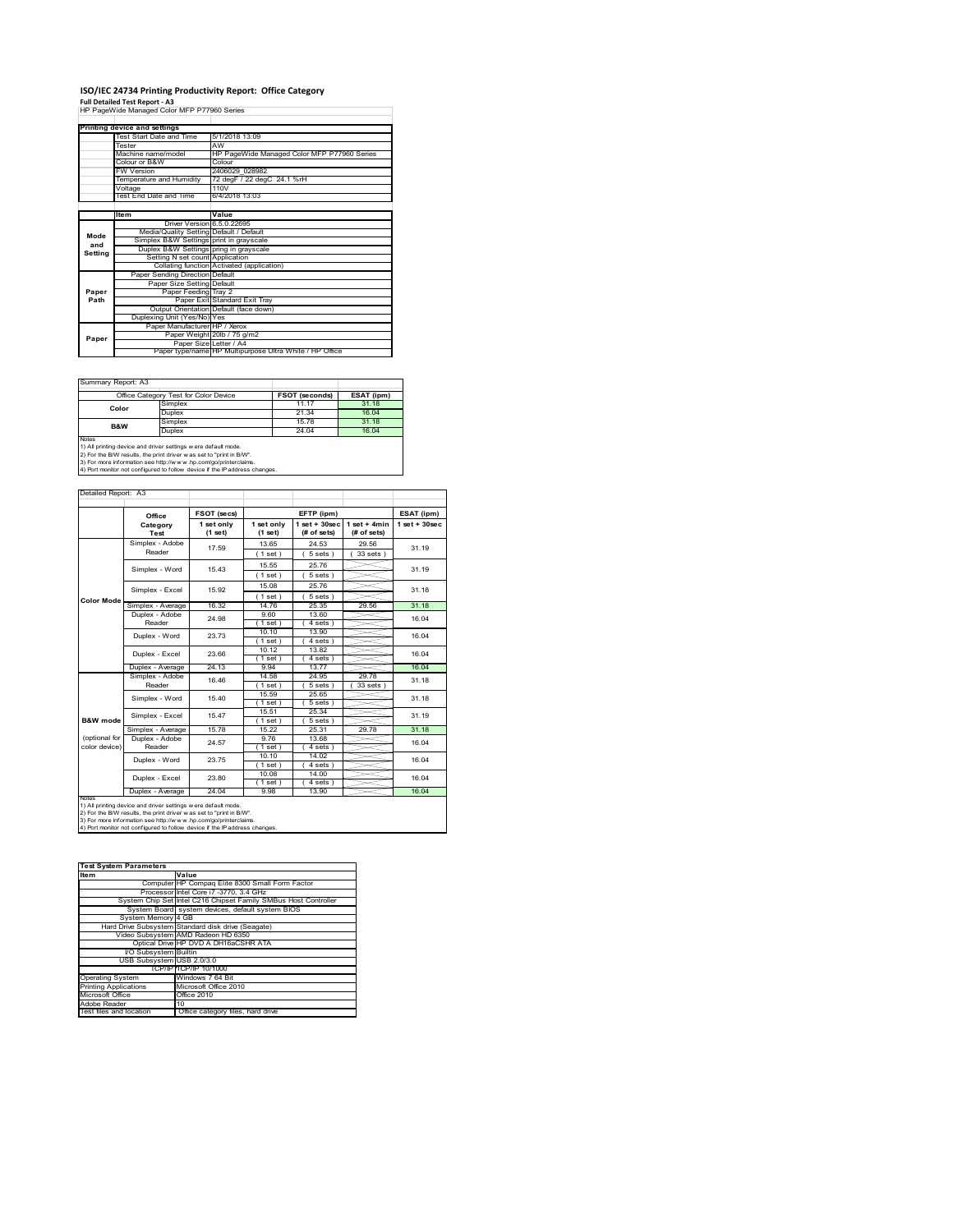## **ISO/IEC 24734 Printing Productivity Report: Office Category**

**Full Detailed Test Report ‐ A3** HP PageWide Managed Color MFP P77960 Series

|         | Printing device and settings            |                                                         |  |  |  |
|---------|-----------------------------------------|---------------------------------------------------------|--|--|--|
|         | Test Start Date and Time                | 5/1/2018 13:09                                          |  |  |  |
|         | Tester                                  | AW                                                      |  |  |  |
|         | Machine name/model                      | HP PageWide Managed Color MFP P77960 Series             |  |  |  |
|         | Colour or B&W                           | Colour                                                  |  |  |  |
|         | <b>FW Version</b>                       | 2406029 028982                                          |  |  |  |
|         | Temperature and Humidity                | 72 degF / 22 degC 24.1 %rH                              |  |  |  |
|         | Voltage                                 | 110V                                                    |  |  |  |
|         | Test End Date and Time                  | 6/4/2018 13:03                                          |  |  |  |
|         |                                         |                                                         |  |  |  |
|         | Item                                    | Value                                                   |  |  |  |
|         | Driver Version 6.5.0.22695              |                                                         |  |  |  |
| Mode    | Media/Quality Setting Default / Default |                                                         |  |  |  |
| and     | Simplex B&W Settings print in grayscale |                                                         |  |  |  |
| Setting | Duplex B&W Settings pring in grayscale  |                                                         |  |  |  |
|         | Setting N set count Application         |                                                         |  |  |  |
|         |                                         | Collating function Activated (application)              |  |  |  |
|         | Paper Sending Direction Default         |                                                         |  |  |  |
|         | Paper Size Setting Default              |                                                         |  |  |  |
| Paper   | Paper Feeding Tray 2                    |                                                         |  |  |  |
| Path    |                                         | Paper Exit Standard Exit Tray                           |  |  |  |
|         |                                         | Output Orientation Default (face down)                  |  |  |  |
|         | Duplexing Unit (Yes/No) Yes             |                                                         |  |  |  |
|         | Paper Manufacturer HP / Xerox           |                                                         |  |  |  |
| Paper   |                                         | Paper Weight 20lb / 75 g/m2                             |  |  |  |
|         | Paper Size Letter / A4                  |                                                         |  |  |  |
|         |                                         | Paper type/name HP Multipurpose Ultra White / HP Office |  |  |  |

 $\sim$ 

 $\overline{\phantom{a}}$ 

Summary Report: A3

|                                                                | Office Category Test for Color Device                               | FSOT (seconds) | ESAT (ipm) |  |  |  |
|----------------------------------------------------------------|---------------------------------------------------------------------|----------------|------------|--|--|--|
| Color                                                          | Simplex                                                             | 11.17          | 31.18      |  |  |  |
|                                                                | Duplex                                                              | 21.34          | 16.04      |  |  |  |
| <b>B&amp;W</b>                                                 | Simplex                                                             | 1578           | 31.18      |  |  |  |
|                                                                | Duplex                                                              | 24.04          | 16.04      |  |  |  |
| <b>Notes</b>                                                   |                                                                     |                |            |  |  |  |
| 1) All printing device and driver settings w ere default mode. |                                                                     |                |            |  |  |  |
|                                                                | 2) For the B/W results, the print driver was set to "print in B/W". |                |            |  |  |  |

2) For the B/W results, the print driver w as set to "print in B/W".<br>3) For more information see http://w w w .hp.com/go/printerclaims.<br>4) Port monitor not configured to follow device if the IP address changes.

|                     | Office                                                         | FSOT (secs)<br>EFTP (ipm) |                       | ESAT (ipm)                       |                               |                    |  |
|---------------------|----------------------------------------------------------------|---------------------------|-----------------------|----------------------------------|-------------------------------|--------------------|--|
|                     | Category<br>Test                                               | 1 set only<br>(1 set)     | 1 set only<br>(1 set) | $1$ set $+30$ sec<br>(# of sets) | $1$ set + 4min<br>(# of sets) | $1$ set + $30$ sec |  |
|                     | Simplex - Adobe                                                | 17.59                     | 13.65                 | 24.53                            | 29.56                         | 31.19              |  |
|                     | Reader                                                         |                           | (1 set)               | 5 sets                           | 33 sets )                     |                    |  |
|                     | Simplex - Word                                                 | 15 43                     | 15.55                 | 25.76                            |                               | 31 19              |  |
|                     |                                                                |                           | (1 set)               | 5 sets)                          |                               |                    |  |
|                     | Simplex - Excel                                                | 15.92                     | 15.08                 | 25.76                            |                               | 31.18              |  |
| <b>Color Mode</b>   |                                                                |                           | (1 set)               | $5 sets$ )                       |                               |                    |  |
|                     | Simplex - Average                                              | 16.32                     | 14 76                 | 25.35                            | 29.56                         | 31.18              |  |
|                     | Duplex - Adobe                                                 | 24.98                     | 9.60                  | 13.60                            |                               | 16.04              |  |
|                     | Reader                                                         |                           | $1$ set)              | 4 sets)                          |                               |                    |  |
|                     | Duplex - Word                                                  | 23 73                     | 10.10                 | 13.90                            |                               | 16.04              |  |
|                     |                                                                |                           | (1 set)               | 4 sets                           |                               |                    |  |
|                     | Duplex - Excel                                                 | 23.66                     | 10.12                 | 13.82                            |                               | 16.04              |  |
|                     |                                                                |                           | $1$ set)              | 4 sets 1                         |                               |                    |  |
|                     | Duplex - Average                                               | 24.13                     | 9.94                  | 13.77                            |                               | 16.04              |  |
|                     | Simplex - Adobe                                                | 16.46                     | 14.58                 | 24.95                            | 29.78                         | 31.18              |  |
|                     | Reader                                                         |                           | $1$ set $)$           | 5 sets                           | 33 sets                       |                    |  |
|                     | Simplex - Word                                                 | 15.40                     | 15.59                 | 25.65                            |                               | 31.18              |  |
|                     |                                                                |                           | (1 set)               | 5 sets )                         |                               |                    |  |
| <b>B&amp;W</b> mode | Simplex - Excel                                                | 15.47                     | 15.51                 | 25.34                            |                               | 31 19              |  |
|                     |                                                                |                           | (1 set)               | 5 sets)                          |                               |                    |  |
| (optional for       | Simplex - Average<br>Duplex - Adobe                            | 15.78                     | 15.22<br>976          | 25.31<br>13.68                   | 29.78                         | 31.18              |  |
| color device)       | Reader                                                         | 24.57                     | (1 set)               | 4 sets)                          |                               | 16.04              |  |
|                     |                                                                |                           | 10.10                 | 14.02                            |                               |                    |  |
|                     | Duplex - Word                                                  | 23.75                     | (1 set)               | $4 sets$ )                       |                               | 16.04              |  |
|                     |                                                                |                           | 10.08                 | 14.00                            |                               |                    |  |
|                     | Duplex - Excel                                                 | 23.80                     | $1$ set)              | 4 sets)                          |                               | 16.04              |  |
|                     | Duplex - Average                                               | 24.04                     | 9.98                  | 13.90                            |                               | 16.04              |  |
| <b>NOTAS</b>        | 1) All printing device and driver settings w ere default mode. |                           |                       |                                  |                               |                    |  |

| <b>Test System Parameters</b> |                                                                 |  |  |  |
|-------------------------------|-----------------------------------------------------------------|--|--|--|
| <b>Item</b>                   | Value                                                           |  |  |  |
|                               | Computer HP Compag Elite 8300 Small Form Factor                 |  |  |  |
|                               | Processor Intel Core i7 -3770, 3.4 GHz                          |  |  |  |
|                               | System Chip Set Intel C216 Chipset Family SMBus Host Controller |  |  |  |
|                               | System Board system devices, default system BIOS                |  |  |  |
| System Memory 4 GB            |                                                                 |  |  |  |
|                               | Hard Drive Subsystem Standard disk drive (Seagate)              |  |  |  |
|                               | Video Subsystem AMD Radeon HD 6350                              |  |  |  |
|                               | Optical Drive HP DVD A DH16aCSHR ATA                            |  |  |  |
| I/O Subsystem Builtin         |                                                                 |  |  |  |
| USB Subsystem USB 2.0/3.0     |                                                                 |  |  |  |
|                               | TCP/IPITCP/IP 10/1000                                           |  |  |  |
| <b>Operating System</b>       | Windows 7 64 Bit                                                |  |  |  |
| <b>Printing Applications</b>  | Microsoft Office 2010                                           |  |  |  |
| Microsoft Office              | Office 2010                                                     |  |  |  |
| Adobe Reader                  | 10                                                              |  |  |  |
| Test files and location       | Office category files, hard drive                               |  |  |  |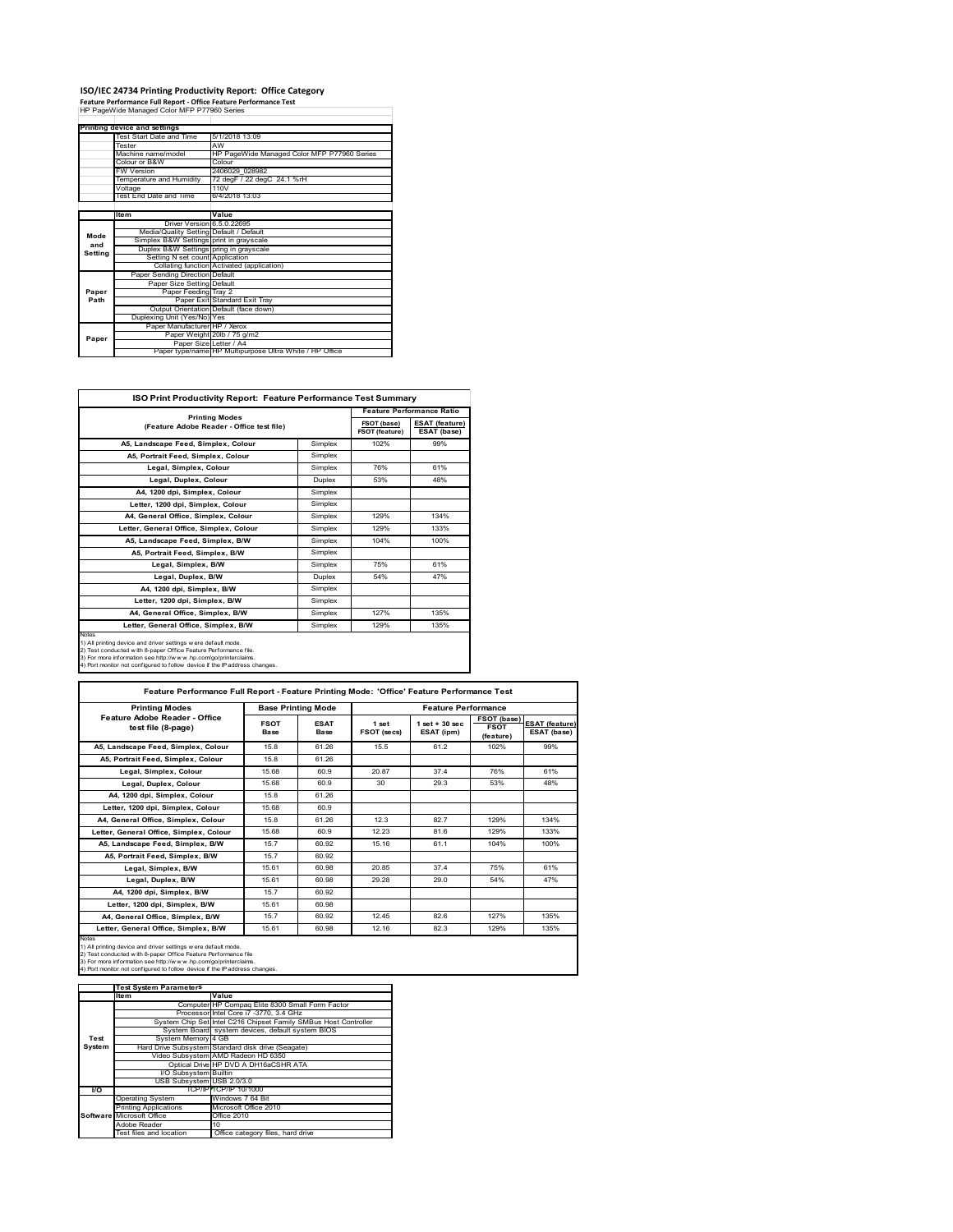# **ISO/IEC 24734 Printing Productivity Report: Office Category Feature Performance Full Report ‐ Office Feature Performance Test** HP PageWide Managed Color MFP P77960 Series

| reature renormance run neport - onnee reature renormance rest<br>HP PageWide Managed Color MFP P77960 Series |                                         |                                                         |  |  |  |
|--------------------------------------------------------------------------------------------------------------|-----------------------------------------|---------------------------------------------------------|--|--|--|
|                                                                                                              |                                         |                                                         |  |  |  |
|                                                                                                              |                                         |                                                         |  |  |  |
|                                                                                                              | Printing device and settings            |                                                         |  |  |  |
|                                                                                                              | Test Start Date and Time                | 5/1/2018 13:09                                          |  |  |  |
|                                                                                                              | Tester                                  | AW                                                      |  |  |  |
|                                                                                                              | Machine name/model                      | HP PageWide Managed Color MFP P77960 Series             |  |  |  |
|                                                                                                              | Colour or B&W                           | Colour                                                  |  |  |  |
|                                                                                                              | <b>FW Version</b>                       | 2406029 028982                                          |  |  |  |
|                                                                                                              | Temperature and Humidity                | 72 degF / 22 degC 24.1 %rH                              |  |  |  |
|                                                                                                              | Voltage                                 | 110V                                                    |  |  |  |
|                                                                                                              | Test End Date and Time                  | 6/4/2018 13:03                                          |  |  |  |
|                                                                                                              |                                         |                                                         |  |  |  |
|                                                                                                              | Item                                    | Value                                                   |  |  |  |
|                                                                                                              | Driver Version 6.5.0.22695              |                                                         |  |  |  |
| Mode                                                                                                         | Media/Quality Setting Default / Default |                                                         |  |  |  |
| and                                                                                                          | Simplex B&W Settings print in gravscale |                                                         |  |  |  |
| Setting                                                                                                      | Duplex B&W Settings pring in grayscale  |                                                         |  |  |  |
|                                                                                                              | Setting N set count Application         |                                                         |  |  |  |
|                                                                                                              |                                         | Collating function Activated (application)              |  |  |  |
|                                                                                                              | Paper Sending Direction Default         |                                                         |  |  |  |
|                                                                                                              | Paper Size Setting Default              |                                                         |  |  |  |
| Paper                                                                                                        | Paper Feeding Tray 2                    |                                                         |  |  |  |
| Path                                                                                                         |                                         | Paper Exit Standard Exit Tray                           |  |  |  |
|                                                                                                              |                                         | Output Orientation Default (face down)                  |  |  |  |
|                                                                                                              | Duplexing Unit (Yes/No) Yes             |                                                         |  |  |  |
|                                                                                                              | Paper Manufacturer HP / Xerox           |                                                         |  |  |  |
| Paper                                                                                                        |                                         | Paper Weight 20lb / 75 g/m2                             |  |  |  |
|                                                                                                              | Paper Size Letter / A4                  |                                                         |  |  |  |
|                                                                                                              |                                         | Paper type/name HP Multipurpose Ultra White / HP Office |  |  |  |

| <b>ISO Print Productivity Report: Feature Performance Test Summary</b>                                                                                                                                                                                                                      |                                                                    |      |                                      |  |  |
|---------------------------------------------------------------------------------------------------------------------------------------------------------------------------------------------------------------------------------------------------------------------------------------------|--------------------------------------------------------------------|------|--------------------------------------|--|--|
|                                                                                                                                                                                                                                                                                             | <b>Printing Modes</b><br>(Feature Adobe Reader - Office test file) |      | <b>Feature Performance Ratio</b>     |  |  |
|                                                                                                                                                                                                                                                                                             |                                                                    |      | <b>ESAT (feature)</b><br>ESAT (base) |  |  |
| A5, Landscape Feed, Simplex, Colour                                                                                                                                                                                                                                                         | Simplex                                                            | 102% | 99%                                  |  |  |
| A5, Portrait Feed, Simplex, Colour                                                                                                                                                                                                                                                          | Simplex                                                            |      |                                      |  |  |
| Legal, Simplex, Colour                                                                                                                                                                                                                                                                      | Simplex                                                            | 76%  | 61%                                  |  |  |
| Legal, Duplex, Colour                                                                                                                                                                                                                                                                       | <b>Duplex</b>                                                      | 53%  | 48%                                  |  |  |
| A4, 1200 dpi, Simplex, Colour                                                                                                                                                                                                                                                               | Simplex                                                            |      |                                      |  |  |
| Letter, 1200 dpi, Simplex, Colour                                                                                                                                                                                                                                                           | Simplex                                                            |      |                                      |  |  |
| A4, General Office, Simplex, Colour                                                                                                                                                                                                                                                         | Simplex                                                            | 129% | 134%                                 |  |  |
| Letter, General Office, Simplex, Colour                                                                                                                                                                                                                                                     | Simplex                                                            | 129% | 133%                                 |  |  |
| A5, Landscape Feed, Simplex, B/W                                                                                                                                                                                                                                                            | Simplex                                                            | 104% | 100%                                 |  |  |
| A5, Portrait Feed, Simplex, B/W                                                                                                                                                                                                                                                             | Simplex                                                            |      |                                      |  |  |
| Legal, Simplex, B/W                                                                                                                                                                                                                                                                         | Simplex                                                            | 75%  | 61%                                  |  |  |
| Legal, Duplex, B/W                                                                                                                                                                                                                                                                          | <b>Duplex</b>                                                      | 54%  | 47%                                  |  |  |
| A4, 1200 dpi, Simplex, B/W                                                                                                                                                                                                                                                                  | Simplex                                                            |      |                                      |  |  |
| Letter, 1200 dpi, Simplex, B/W                                                                                                                                                                                                                                                              | Simplex                                                            |      |                                      |  |  |
| A4. General Office. Simplex. B/W                                                                                                                                                                                                                                                            | Simplex                                                            | 127% | 135%                                 |  |  |
| Letter, General Office, Simplex, B/W                                                                                                                                                                                                                                                        | Simplex                                                            | 129% | 135%                                 |  |  |
| Notes<br>1) All printing device and driver settings w ere default mode.<br>2) Test conducted with 8-paper Office Feature Performance file.<br>3) For more information see http://www.hp.com/go/printerclaims.<br>4) Port monitor not configured to follow device if the IP address changes. |                                                                    |      |                                      |  |  |

| <b>Printing Modes</b>                               | <b>Base Printing Mode</b> |                            | <b>Feature Performance</b>  |                                  |                                         |                                      |  |
|-----------------------------------------------------|---------------------------|----------------------------|-----------------------------|----------------------------------|-----------------------------------------|--------------------------------------|--|
| Feature Adobe Reader - Office<br>test file (8-page) | <b>FSOT</b><br>Base       | <b>ESAT</b><br><b>Base</b> | 1 set<br><b>FSOT (secs)</b> | $1$ set $+30$ sec.<br>ESAT (ipm) | FSOT (base)<br><b>FSOT</b><br>(feature) | <b>ESAT (feature)</b><br>ESAT (base) |  |
| A5. Landscape Feed. Simplex. Colour                 | 15.8                      | 61.26                      | 15.5                        | 61.2                             | 102%                                    | 99%                                  |  |
| A5, Portrait Feed, Simplex, Colour                  | 15.8                      | 61.26                      |                             |                                  |                                         |                                      |  |
| Legal, Simplex, Colour                              | 15.68                     | 60.9                       | 20.87                       | 374                              | 76%                                     | 61%                                  |  |
| Legal, Duplex, Colour                               | 15.68                     | 60.9                       | 30                          | 29.3                             | 53%                                     | 48%                                  |  |
| A4, 1200 dpi, Simplex, Colour                       | 15.8                      | 61.26                      |                             |                                  |                                         |                                      |  |
| Letter, 1200 dpi, Simplex, Colour                   | 15.68                     | 60.9                       |                             |                                  |                                         |                                      |  |
| A4. General Office. Simplex. Colour                 | 15.8                      | 61.26                      | 12.3                        | 827                              | 129%                                    | 134%                                 |  |
| Letter, General Office, Simplex, Colour             | 15.68                     | 60.9                       | 12 23                       | 81.6                             | 129%                                    | 133%                                 |  |
| A5. Landscape Feed. Simplex. B/W                    | 15.7                      | 60.92                      | 15 16                       | 61.1                             | 104%                                    | 100%                                 |  |
| A5. Portrait Feed. Simplex. B/W                     | 15.7                      | 60.92                      |                             |                                  |                                         |                                      |  |
| Legal, Simplex, B/W                                 | 15.61                     | 60.98                      | 20.85                       | 374                              | 75%                                     | 61%                                  |  |
| Legal, Duplex, B/W                                  | 15.61                     | 60.98                      | 29.28                       | 29.0                             | 54%                                     | 47%                                  |  |
| A4. 1200 dpi. Simplex. B/W                          | 15.7                      | 60.92                      |                             |                                  |                                         |                                      |  |
| Letter, 1200 dpi, Simplex, B/W                      | 15.61                     | 60.98                      |                             |                                  |                                         |                                      |  |
| A4, General Office, Simplex, B/W                    | 15.7                      | 60.92                      | 12 45                       | 826                              | 127%                                    | 135%                                 |  |
| Letter, General Office, Simplex, B/W                | 15.61                     | 60.98                      | 12.16                       | 82.3                             | 129%                                    | 135%                                 |  |

Notes<br>1) All printing device and driver settings were default mode.<br>2) Test conducted with 8-paper Office Feature Performance file<br>3) For more information see http://www.hp.com/go/printerclaims.<br>4) Por monitor not configur

|           | <b>Test System Parameters</b> |                                                                 |  |  |
|-----------|-------------------------------|-----------------------------------------------------------------|--|--|
|           | <b>Item</b>                   | Value                                                           |  |  |
|           |                               | Computer HP Compaq Elite 8300 Small Form Factor                 |  |  |
|           |                               | Processor Intel Core i7 -3770, 3.4 GHz                          |  |  |
|           |                               | System Chip Set Intel C216 Chipset Family SMBus Host Controller |  |  |
|           |                               | System Board system devices, default system BIOS                |  |  |
| Test      | System Memory 4 GB            |                                                                 |  |  |
| System    |                               | Hard Drive Subsystem Standard disk drive (Seagate)              |  |  |
|           |                               | Video Subsystem AMD Radeon HD 6350                              |  |  |
|           |                               | Optical Drive HP DVD A DH16aCSHR ATA                            |  |  |
|           | I/O Subsystem Builtin         |                                                                 |  |  |
|           | USB Subsystem USB 2.0/3.0     |                                                                 |  |  |
| <b>VO</b> |                               | TCP/IPFTCP/IP 10/1000                                           |  |  |
|           | <b>Operating System</b>       | Windows 7 64 Bit                                                |  |  |
|           | <b>Printing Applications</b>  | Microsoft Office 2010                                           |  |  |
|           | Software Microsoft Office     | Office 2010                                                     |  |  |
|           | Adobe Reader                  | 10                                                              |  |  |
|           | Test files and location       | Office category files, hard drive                               |  |  |
|           |                               |                                                                 |  |  |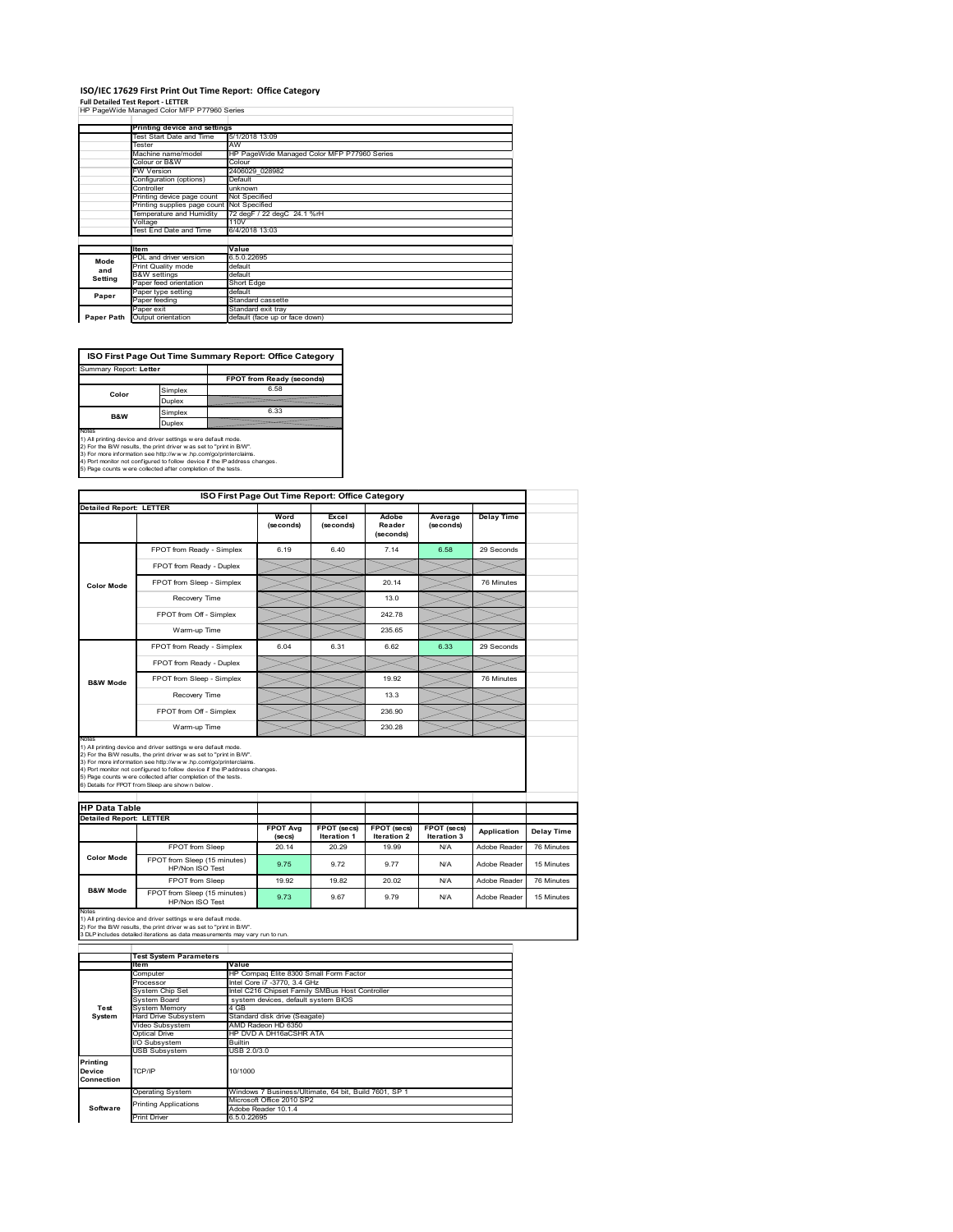# **ISO/IEC 17629 First Print Out Time Report: Office Category**

**Full Detailed Test Report ‐ LETTER** HP PageWide Managed Color MFP P77960 Series

|            | iii i agewide managed Color Ivii i 17300 Oenes |                                             |  |  |  |
|------------|------------------------------------------------|---------------------------------------------|--|--|--|
|            |                                                |                                             |  |  |  |
|            | Printing device and settings                   |                                             |  |  |  |
|            | Test Start Date and Time                       | 5/1/2018 13:09<br>AW                        |  |  |  |
|            | Tester                                         |                                             |  |  |  |
|            | Machine name/model                             | HP PageWide Managed Color MFP P77960 Series |  |  |  |
|            | Colour or B&W                                  | Colour                                      |  |  |  |
|            | <b>FW Version</b>                              | 2406029 028982                              |  |  |  |
|            | Default<br>Configuration (options)             |                                             |  |  |  |
|            | Controller<br>unknown                          |                                             |  |  |  |
|            | Printing device page count                     | Not Specified                               |  |  |  |
|            | Printing supplies page count Not Specified     | 72 degF / 22 degC 24.1 %rH                  |  |  |  |
|            | Temperature and Humidity                       |                                             |  |  |  |
|            | Voltage                                        | 110V                                        |  |  |  |
|            | Test End Date and Time                         | 6/4/2018 13:03                              |  |  |  |
|            |                                                |                                             |  |  |  |
|            | ltem                                           | Value                                       |  |  |  |
| Mode       | PDL and driver version                         | 6.5.0.22695                                 |  |  |  |
| and        | Print Quality mode                             | default                                     |  |  |  |
| Setting    | <b>B&amp;W</b> settings                        | default                                     |  |  |  |
|            | Paper feed orientation                         | Short Edge                                  |  |  |  |
| Paper      | Paper type setting                             | default                                     |  |  |  |
|            | Paper feeding                                  | Standard cassette                           |  |  |  |
|            | Paper exit                                     | Standard exit tray                          |  |  |  |
| Paper Path | Output orientation                             | default (face up or face down)              |  |  |  |
|            |                                                |                                             |  |  |  |

**ISO First Page Out Time Summary Report: Office Category**

| Summary Report: Letter                                                                                                                                                                                                                                                                                                                                           |         |                           |  |  |  |  |
|------------------------------------------------------------------------------------------------------------------------------------------------------------------------------------------------------------------------------------------------------------------------------------------------------------------------------------------------------------------|---------|---------------------------|--|--|--|--|
|                                                                                                                                                                                                                                                                                                                                                                  |         | FPOT from Ready (seconds) |  |  |  |  |
| Color                                                                                                                                                                                                                                                                                                                                                            | Simplex | 6.58                      |  |  |  |  |
|                                                                                                                                                                                                                                                                                                                                                                  | Duplex  |                           |  |  |  |  |
| <b>B&amp;W</b>                                                                                                                                                                                                                                                                                                                                                   | Simplex | 6.33                      |  |  |  |  |
|                                                                                                                                                                                                                                                                                                                                                                  | Duplex  |                           |  |  |  |  |
| Notes<br>1) All printing device and driver settings w ere default mode.<br>2) For the B/W results, the print driver was set to "print in B/W".<br>3) For more information see http://www.hp.com/go/printerclaims.<br>4) Port monitor not configured to follow device if the IP address changes.<br>5) Page counts w ere collected after completion of the tests. |         |                           |  |  |  |  |
|                                                                                                                                                                                                                                                                                                                                                                  |         |                           |  |  |  |  |

|                               |                                                                                                                                                                                                                                                                                                                                                                                                             | ISO First Page Out Time Report: Office Category |                      |                              |                      |                   |  |
|-------------------------------|-------------------------------------------------------------------------------------------------------------------------------------------------------------------------------------------------------------------------------------------------------------------------------------------------------------------------------------------------------------------------------------------------------------|-------------------------------------------------|----------------------|------------------------------|----------------------|-------------------|--|
| Detailed Report: LETTER       |                                                                                                                                                                                                                                                                                                                                                                                                             | Word<br>(seconds)                               | Excel<br>(seconds)   | Adobe<br>Reader<br>(seconds) | Average<br>(seconds) | <b>Delay Time</b> |  |
|                               | FPOT from Ready - Simplex                                                                                                                                                                                                                                                                                                                                                                                   | 6.19                                            | 6.40                 | 7.14                         | 6.58                 | 29 Seconds        |  |
|                               | FPOT from Ready - Duplex                                                                                                                                                                                                                                                                                                                                                                                    |                                                 |                      |                              |                      |                   |  |
| <b>Color Mode</b>             | FPOT from Sleep - Simplex                                                                                                                                                                                                                                                                                                                                                                                   |                                                 |                      | 20.14                        |                      | 76 Minutes        |  |
|                               | Recovery Time                                                                                                                                                                                                                                                                                                                                                                                               |                                                 |                      | 13.0                         |                      |                   |  |
|                               | FPOT from Off - Simplex                                                                                                                                                                                                                                                                                                                                                                                     |                                                 |                      | 242.78                       |                      |                   |  |
|                               | Warm-up Time                                                                                                                                                                                                                                                                                                                                                                                                |                                                 |                      | 235.65                       |                      |                   |  |
|                               | FPOT from Ready - Simplex                                                                                                                                                                                                                                                                                                                                                                                   | 6.04                                            | 6.31                 | 6.62                         | 6.33                 | 29 Seconds        |  |
|                               | FPOT from Ready - Duplex                                                                                                                                                                                                                                                                                                                                                                                    |                                                 |                      |                              |                      |                   |  |
| <b>B&amp;W Mode</b>           | FPOT from Sleep - Simplex                                                                                                                                                                                                                                                                                                                                                                                   |                                                 |                      | 19.92                        |                      | 76 Minutes        |  |
|                               | Recovery Time                                                                                                                                                                                                                                                                                                                                                                                               |                                                 |                      | 13.3                         |                      |                   |  |
|                               | FPOT from Off - Simplex                                                                                                                                                                                                                                                                                                                                                                                     |                                                 |                      | 236.90                       |                      |                   |  |
|                               |                                                                                                                                                                                                                                                                                                                                                                                                             |                                                 |                      |                              |                      |                   |  |
|                               | Warm-up Time                                                                                                                                                                                                                                                                                                                                                                                                |                                                 |                      | 230.28                       |                      |                   |  |
| Notes<br><b>HP Data Table</b> | 1) All printing device and driver settings w ere default mode.<br>2) For the B/W results, the print driver was set to "print in B/W".<br>3) For more information see http://www.hp.com/go/printerclaims.<br>4) Port monitor not configured to follow device if the IP address changes.<br>5) Page counts w ere collected after completion of the tests.<br>6) Details for FPOT from Sleep are show n below. |                                                 |                      |                              |                      |                   |  |
| Detailed Report: LETTER       |                                                                                                                                                                                                                                                                                                                                                                                                             | <b>FPOT Avg</b>                                 | FPOT (secs)          | FPOT (secs)                  | FPOT (secs)          | Application       |  |
|                               | FPOT from Sleep                                                                                                                                                                                                                                                                                                                                                                                             | (se cs)<br>20.14                                | Iteration 1<br>20.29 | Iteration 2<br>19.99         | Iteration 3<br>N/A   | Adobe Reader      |  |
| <b>Color Mode</b>             | FPOT from Sleep (15 minutes)<br>HP/Non ISO Test                                                                                                                                                                                                                                                                                                                                                             | 9.75                                            | 9.72                 | 9.77                         | N/A                  | Adobe Reader      |  |
|                               | <b>FPOT from Sleep</b>                                                                                                                                                                                                                                                                                                                                                                                      | 19.92                                           | 19.82                | 20.02                        | N/A                  | Adobe Reader      |  |

|            | <b>Test System Parameters</b> |                                                       |  |  |  |
|------------|-------------------------------|-------------------------------------------------------|--|--|--|
|            | <b>Item</b>                   | Value                                                 |  |  |  |
|            | Computer                      | HP Compaq Elite 8300 Small Form Factor                |  |  |  |
|            | Processor                     | Intel Core i7 -3770, 3.4 GHz                          |  |  |  |
|            | System Chip Set               | Intel C216 Chipset Family SMBus Host Controller       |  |  |  |
|            | System Board                  | system devices, default system BIOS                   |  |  |  |
| Test       | <b>System Memory</b>          | 4 GB                                                  |  |  |  |
| System     | <b>Hard Drive Subsystem</b>   | Standard disk drive (Seagate)                         |  |  |  |
|            | Video Subsystem               | AMD Radeon HD 6350                                    |  |  |  |
|            | Optical Drive                 | HP DVD A DH16aCSHR ATA                                |  |  |  |
|            | I/O Subsystem                 | <b>Builtin</b>                                        |  |  |  |
|            | <b>USB Subsystem</b>          | USB 2.0/3.0                                           |  |  |  |
| Printing   |                               |                                                       |  |  |  |
| Device     | TCP/IP                        | 10/1000                                               |  |  |  |
| Connection |                               |                                                       |  |  |  |
|            | <b>Operating System</b>       | Windows 7 Business/Ultimate, 64 bit, Build 7601, SP 1 |  |  |  |
|            | <b>Printing Applications</b>  | Microsoft Office 2010 SP2                             |  |  |  |
| Software   |                               | Adobe Reader 10.1.4                                   |  |  |  |
|            | <b>Print Driver</b>           | 6.5.0.22695                                           |  |  |  |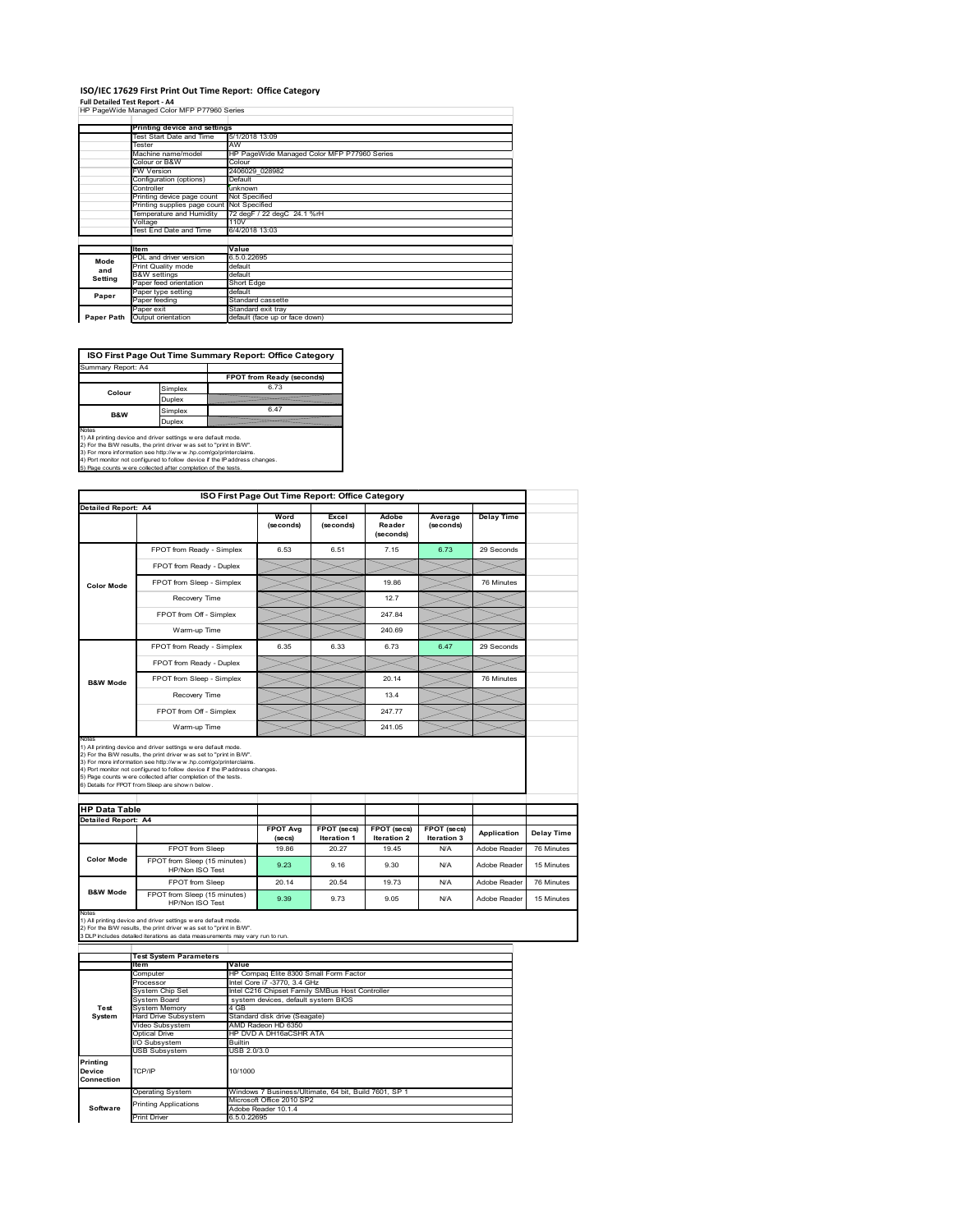### **ISO/IEC 17629 First Print Out Time Report: Office Category**

**Full Detailed Test Report ‐ A4** HP PageWide Managed Color MFP P77960 Series

|            | HP Pagewige Manageg Color MFP P/7960 Series |                                             |
|------------|---------------------------------------------|---------------------------------------------|
|            |                                             |                                             |
|            | Printing device and settings                |                                             |
|            | Test Start Date and Time                    | 5/1/2018 13:09                              |
|            | Tester                                      | AW                                          |
|            | Machine name/model                          | HP PageWide Managed Color MFP P77960 Series |
|            | Colour or B&W                               | Colour                                      |
|            | FW Version                                  | 2406029 028982                              |
|            | Configuration (options)                     | Default                                     |
|            | Controller                                  | unknown                                     |
|            | Printing device page count                  | Not Specified                               |
|            | Printing supplies page count                | Not Specified                               |
|            | Temperature and Humidity                    | 72 degF / 22 degC 24.1 %rH                  |
|            | Voltage                                     | 110V                                        |
|            | Test End Date and Time                      | 6/4/2018 13:03                              |
|            |                                             |                                             |
|            | Item                                        | Value                                       |
| Mode       | PDL and driver version                      | 6.5.0.22695                                 |
| and        | Print Quality mode                          | default                                     |
| Setting    | <b>B&amp;W</b> settings                     | default                                     |
|            | Paper feed orientation                      | Short Edge                                  |
| Paper      | Paper type setting                          | default                                     |
|            | Paper feeding                               | Standard cassette                           |
|            | Paper exit                                  | Standard exit tray                          |
| Paper Path | Output orientation                          | default (face up or face down)              |
|            |                                             |                                             |

**ISO First Page Out Time Summary Report: Office Category**

| Summary Report: A4 |         |                           |
|--------------------|---------|---------------------------|
|                    |         | FPOT from Ready (seconds) |
| Colour             | Simplex | 6.73                      |
|                    | Duplex  |                           |
| <b>B&amp;W</b>     | Simplex | 6.47                      |
|                    | Duplex  |                           |
| $k = 1 - 1$        |         |                           |

Notes<br>1) All printing device and driver settings were default mode.<br>2) For the BAV results, the print driver was set to "print in BAV".<br>3) For more information see http://www.hp.com/golprinterclaims.<br>4) Port monitor not co

|                                                             |                                                                                                                                                                                                                                                                                                                                                                                                             | ISO First Page Out Time Report: Office Category |                             |                              |                           |                   |            |
|-------------------------------------------------------------|-------------------------------------------------------------------------------------------------------------------------------------------------------------------------------------------------------------------------------------------------------------------------------------------------------------------------------------------------------------------------------------------------------------|-------------------------------------------------|-----------------------------|------------------------------|---------------------------|-------------------|------------|
| <b>Detailed Report: A4</b>                                  |                                                                                                                                                                                                                                                                                                                                                                                                             | Word<br>(seconds)                               | Excel<br>(seconds)          | Adobe<br>Reader<br>(seconds) | Average<br>(seconds)      | <b>Delay Time</b> |            |
|                                                             | FPOT from Ready - Simplex                                                                                                                                                                                                                                                                                                                                                                                   | 6.53                                            | 6.51                        | 7.15                         | 6.73                      | 29 Seconds        |            |
|                                                             | FPOT from Ready - Duplex                                                                                                                                                                                                                                                                                                                                                                                    |                                                 |                             |                              |                           |                   |            |
| <b>Color Mode</b>                                           | FPOT from Sleep - Simplex                                                                                                                                                                                                                                                                                                                                                                                   |                                                 |                             | 19.86                        |                           | 76 Minutes        |            |
|                                                             | Recovery Time                                                                                                                                                                                                                                                                                                                                                                                               |                                                 |                             | 12.7                         |                           |                   |            |
|                                                             | FPOT from Off - Simplex                                                                                                                                                                                                                                                                                                                                                                                     |                                                 |                             | 247.84                       |                           |                   |            |
|                                                             | Warm-up Time                                                                                                                                                                                                                                                                                                                                                                                                |                                                 |                             | 240.69                       |                           |                   |            |
|                                                             | FPOT from Ready - Simplex                                                                                                                                                                                                                                                                                                                                                                                   | 6.35                                            | 6.33                        | 6.73                         | 6.47                      | 29 Seconds        |            |
|                                                             | FPOT from Ready - Duplex                                                                                                                                                                                                                                                                                                                                                                                    |                                                 |                             |                              |                           |                   |            |
| <b>B&amp;W Mode</b>                                         | FPOT from Sleep - Simplex                                                                                                                                                                                                                                                                                                                                                                                   |                                                 |                             | 20.14                        |                           | 76 Minutes        |            |
|                                                             | Recovery Time                                                                                                                                                                                                                                                                                                                                                                                               |                                                 |                             | 13.4                         |                           |                   |            |
|                                                             |                                                                                                                                                                                                                                                                                                                                                                                                             |                                                 |                             |                              |                           |                   |            |
|                                                             | FPOT from Off - Simplex                                                                                                                                                                                                                                                                                                                                                                                     |                                                 |                             | 247.77                       |                           |                   |            |
|                                                             | Warm-up Time                                                                                                                                                                                                                                                                                                                                                                                                |                                                 |                             | 241.05                       |                           |                   |            |
| Notes<br><b>HP Data Table</b><br><b>Detailed Report: A4</b> | 1) All printing device and driver settings w ere default mode.<br>2) For the B/W results, the print driver was set to "print in B/W".<br>3) For more information see http://www.hp.com/go/printerclaims.<br>4) Port monitor not configured to follow device if the IP address changes.<br>5) Page counts w ere collected after completion of the tests.<br>6) Details for FPOT from Sleep are show n below. | <b>FPOT Avg</b>                                 | FPOT (secs)                 | FPOT (secs)                  | FPOT (secs)               | Application       | Delay Time |
|                                                             | FPOT from Sleep                                                                                                                                                                                                                                                                                                                                                                                             | (se cs)<br>19.86                                | <b>Iteration 1</b><br>20.27 | <b>Iteration 2</b><br>19.45  | <b>Iteration 3</b><br>N/A | Adobe Reader      | 76 Minutes |
| <b>Color Mode</b>                                           | FPOT from Sleep (15 minutes)<br>HP/Non ISO Test                                                                                                                                                                                                                                                                                                                                                             | 9.23                                            | 9.16                        | 9.30                         | N/A                       | Adobe Reader      | 15 Minutes |
|                                                             | FPOT from Sleep                                                                                                                                                                                                                                                                                                                                                                                             | 20.14                                           | 20.54                       | 19 73                        | N/A                       | Adobe Reader      | 76 Minutes |

|                                  | <b>Test System Parameters</b> |                                                       |
|----------------------------------|-------------------------------|-------------------------------------------------------|
|                                  | <b>Item</b>                   | Value                                                 |
|                                  | Computer                      | HP Compag Elite 8300 Small Form Factor                |
|                                  | Processor                     | Intel Core i7 -3770, 3.4 GHz                          |
|                                  | System Chip Set               | Intel C216 Chipset Family SMBus Host Controller       |
|                                  | System Board                  | system devices, default system BIOS                   |
| Test                             | <b>System Memory</b>          | 4 GB                                                  |
| System                           | Hard Drive Subsystem          | Standard disk drive (Seagate)                         |
|                                  | Video Subsystem               | AMD Radeon HD 6350                                    |
|                                  | Optical Drive                 | HP DVD A DH16aCSHR ATA                                |
|                                  | I/O Subsystem                 | <b>Builtin</b>                                        |
|                                  | <b>USB Subsystem</b>          | USB 2.0/3.0                                           |
| Printing<br>Device<br>Connection | TCP/IP                        | 10/1000                                               |
|                                  | <b>Operating System</b>       | Windows 7 Business/Ultimate, 64 bit, Build 7601, SP 1 |
|                                  | <b>Printing Applications</b>  | Microsoft Office 2010 SP2                             |
| Software                         |                               | Adobe Reader 10.1.4                                   |
|                                  | <b>Print Driver</b>           | 6.5.0.22695                                           |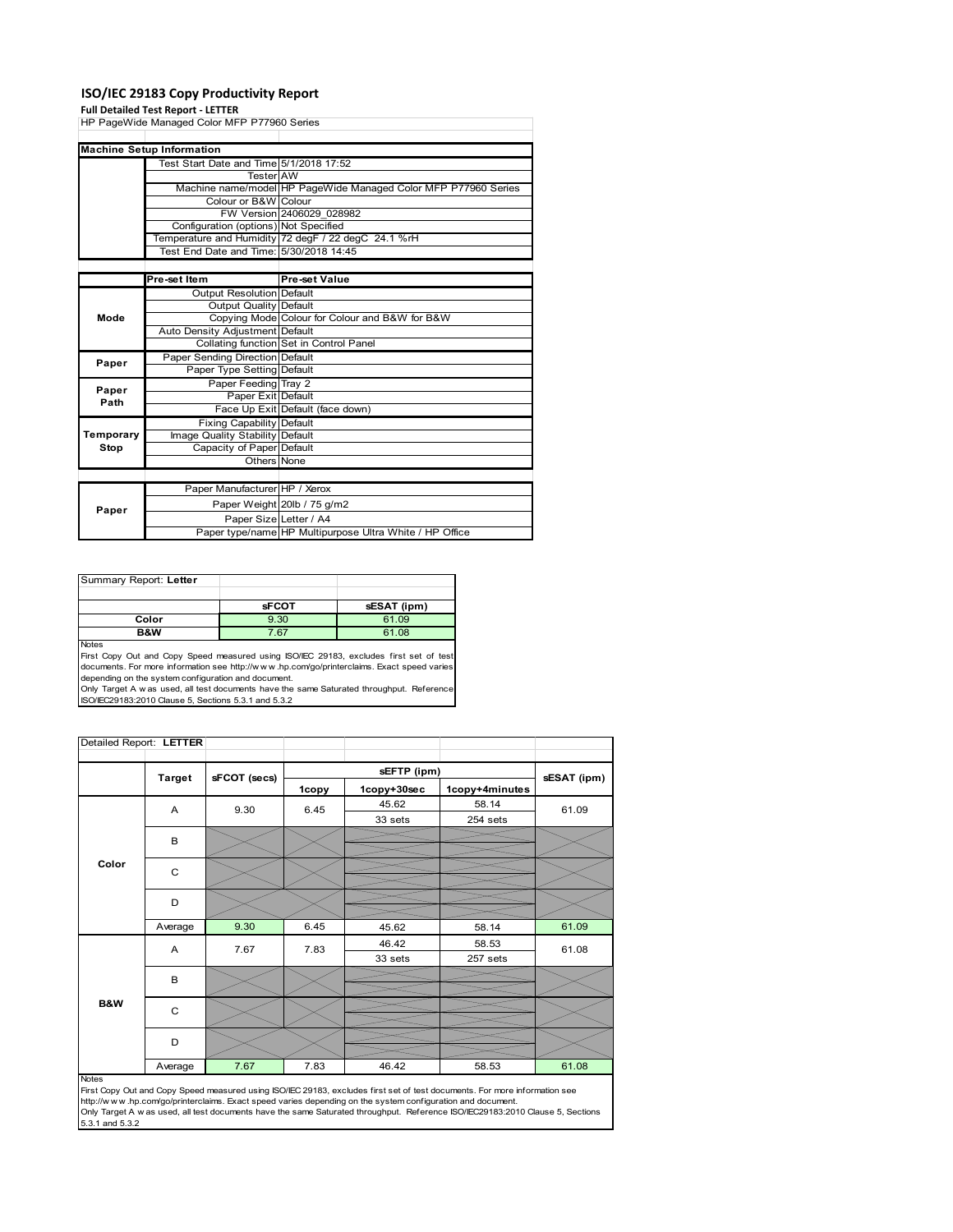### **ISO/IEC 29183 Copy Productivity Report**

### **Full Detailed Test Report ‐ LETTER**

HP PageWide Managed Color MFP P77960 Series Test Start Date and Time 5/1/2018 17:52 Tester AW Machine name/model HP PageWide Managed Color MFP P77960 Series Colour or B&W Colour FW Version 2406029\_028982 Configuration (options) Not Specified Temperature and Humidity 72 degF / 22 degC 24.1 %rH Test End Date and Time: 5/30/2018 14:45 **Pre-set Item Pre-set Value Output Resolution Default** Output Quality Default Copying Mode Colour for Colour and B&W for B&W Auto Density Adjustment Default Collating function Set in Control Panel Paper Sending Direction Default Paper Type Setting Paper Feeding Tray 2 Paper Exit Default Face Up Exit Default (face down) Fixing Capability Default Image Quality Stability Default Capacity of Paper Default Others None Paper Manufacturer HP / Xerox Paper Weight 20lb / 75 g/m2 Paper Size Letter / A4 Paper type/name HP Multipurpose Ultra White / HP Office **Machine Setup Information Paper Paper Paper Path Temporary Stop Mode**

| Summary Report: Letter |              |             |
|------------------------|--------------|-------------|
|                        |              |             |
|                        | <b>sFCOT</b> | sESAT (ipm) |
| Color                  | 9.30         | 61.09       |
| <b>B&amp;W</b>         | 7.67         | 61.08       |
| <b>Notes</b>           |              |             |

Notes First Copy Out and Copy Speed measured using ISO/IEC 29183, excludes first set of test documents. For more information see http://w w w .hp.com/go/printerclaims. Exact speed varies depending on the system configuration and document.

Only Target A w as used, all test documents have the same Saturated throughput. Reference ISO/IEC29183:2010 Clause 5, Sections 5.3.1 and 5.3.2

| Detailed Report: LETTER |               |              |       |             |                |             |
|-------------------------|---------------|--------------|-------|-------------|----------------|-------------|
|                         |               |              |       | sEFTP (ipm) |                |             |
|                         | <b>Target</b> | sFCOT (secs) | 1copy | 1copy+30sec | 1copy+4minutes | sESAT (ipm) |
|                         | A             | 9.30         | 6.45  | 45.62       | 58.14          | 61.09       |
|                         |               |              |       | 33 sets     | 254 sets       |             |
|                         | В             |              |       |             |                |             |
| Color                   | C             |              |       |             |                |             |
|                         |               |              |       |             |                |             |
|                         | D             |              |       |             |                |             |
|                         |               |              |       |             |                |             |
|                         | Average       | 9.30         | 6.45  | 45.62       | 58.14          | 61.09       |
|                         | Α             | 7.67         | 7.83  | 46.42       | 58.53          | 61.08       |
|                         |               |              |       | 33 sets     | 257 sets       |             |
|                         | B             |              |       |             |                |             |
|                         |               |              |       |             |                |             |
| B&W                     | C             |              |       |             |                |             |
|                         | D             |              |       |             |                |             |
|                         | Average       | 7.67         | 7.83  | 46.42       | 58.53          | 61.08       |

### Notes

First Copy Out and Copy Speed measured using ISO/IEC 29183, excludes first set of test documents. For more information see http://w w w .hp.com/go/printerclaims. Exact speed varies depending on the system configuration and document. Only Target A w as used, all test documents have the same Saturated throughput. Reference ISO/IEC29183:2010 Clause 5, Sections 5.3.1 and 5.3.2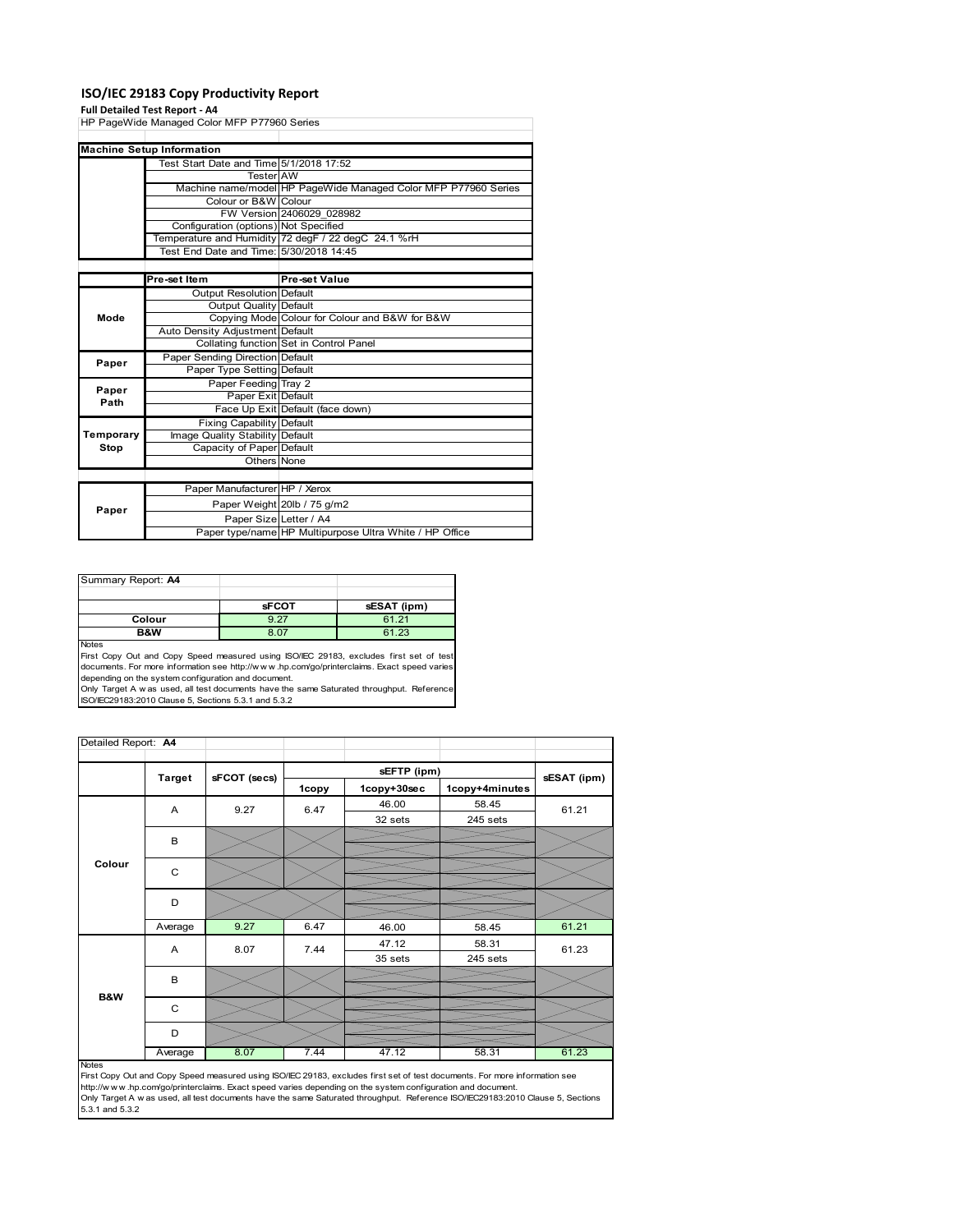### **ISO/IEC 29183 Copy Productivity Report**

### **Full Detailed Test Report ‐ A4**

|           | run betanca Test Report - A+                |                                                                |  |
|-----------|---------------------------------------------|----------------------------------------------------------------|--|
|           | HP PageWide Managed Color MFP P77960 Series |                                                                |  |
|           |                                             |                                                                |  |
|           | <b>Machine Setup Information</b>            |                                                                |  |
|           | Test Start Date and Time 5/1/2018 17:52     |                                                                |  |
|           | <b>Tester AW</b>                            |                                                                |  |
|           |                                             | Machine name/model HP PageWide Managed Color MFP P77960 Series |  |
|           | Colour or B&W Colour                        |                                                                |  |
|           |                                             | FW Version 2406029 028982                                      |  |
|           | Configuration (options) Not Specified       |                                                                |  |
|           |                                             | Temperature and Humidity 72 degF / 22 degC 24.1 %rH            |  |
|           | Test End Date and Time: 5/30/2018 14:45     |                                                                |  |
|           |                                             |                                                                |  |
|           | Pre-set Item                                | Pre-set Value                                                  |  |
|           | <b>Output Resolution Default</b>            |                                                                |  |
|           | Output Quality                              | <b>Default</b>                                                 |  |
| Mode      |                                             | Copying Mode Colour for Colour and B&W for B&W                 |  |
|           | Auto Density Adjustment Default             |                                                                |  |
|           |                                             | Collating function Set in Control Panel                        |  |
| Paper     | Paper Sending Direction Default             |                                                                |  |
|           | Paper Type Setting Default                  |                                                                |  |
| Paper     | Paper Feeding Tray 2                        |                                                                |  |
| Path      | Paper Exit Default                          |                                                                |  |
|           |                                             | Face Up Exit Default (face down)                               |  |
|           | <b>Fixing Capability Default</b>            |                                                                |  |
| Temporary | Image Quality Stability Default             |                                                                |  |
| Stop      | Capacity of Paper Default                   |                                                                |  |
|           | Others None                                 |                                                                |  |
|           |                                             |                                                                |  |
|           | Paper Manufacturer HP / Xerox               |                                                                |  |
| Paper     |                                             | Paper Weight 20lb / 75 g/m2                                    |  |
|           | Paper Size Letter / A4                      |                                                                |  |
|           |                                             | Paper type/name HP Multipurpose Ultra White / HP Office        |  |

| Summary Report: A4 |              |             |
|--------------------|--------------|-------------|
|                    |              |             |
|                    | <b>sFCOT</b> | sESAT (ipm) |
| Colour             | Q 27         | 61.21       |
| <b>B&amp;W</b>     | ጸ በ7         | 61.23       |

Notes

First Copy Out and Copy Speed measured using ISO/IEC 29183, excludes first set of test documents. For more information see http://w w w .hp.com/go/printerclaims. Exact speed varies

depending on the system configuration and document.<br>Only Target A w as used, all test documents have the same Saturated throughput. Reference<br>ISO/IEC29183:2010 Clause 5, Sections 5.3.1 and 5.3.2

| Detailed Report: A4 |               |              |       |             |                |             |
|---------------------|---------------|--------------|-------|-------------|----------------|-------------|
|                     |               |              |       | sEFTP (ipm) |                |             |
|                     | <b>Target</b> | sFCOT (secs) | 1copy | 1copy+30sec | 1copy+4minutes | sESAT (ipm) |
|                     | Α             | 9.27         | 6.47  | 46.00       | 58.45          | 61.21       |
|                     |               |              |       | 32 sets     | 245 sets       |             |
|                     | B             |              |       |             |                |             |
|                     |               |              |       |             |                |             |
| Colour              | C             |              |       |             |                |             |
|                     | D             |              |       |             |                |             |
|                     |               |              |       |             |                |             |
|                     | Average       | 9.27         | 6.47  | 46.00       | 58.45          | 61.21       |
|                     | A             | 8.07         | 7.44  | 47.12       | 58.31          | 61.23       |
|                     |               |              |       | 35 sets     | 245 sets       |             |
|                     | B             |              |       |             |                |             |
| B&W                 |               |              |       |             |                |             |
|                     | $\mathsf{C}$  |              |       |             |                |             |
|                     | D             |              |       |             |                |             |
|                     | Average       | 8.07         | 7.44  | 47.12       | 58.31          | 61.23       |

http://w.w.w..hp.com/go/printerclaims. Exact speed varies depending on the system configuration and document.<br>Only Target A w as used, all test documents have the same Saturated throughput. Reference ISO/IEC29183:2010 Cla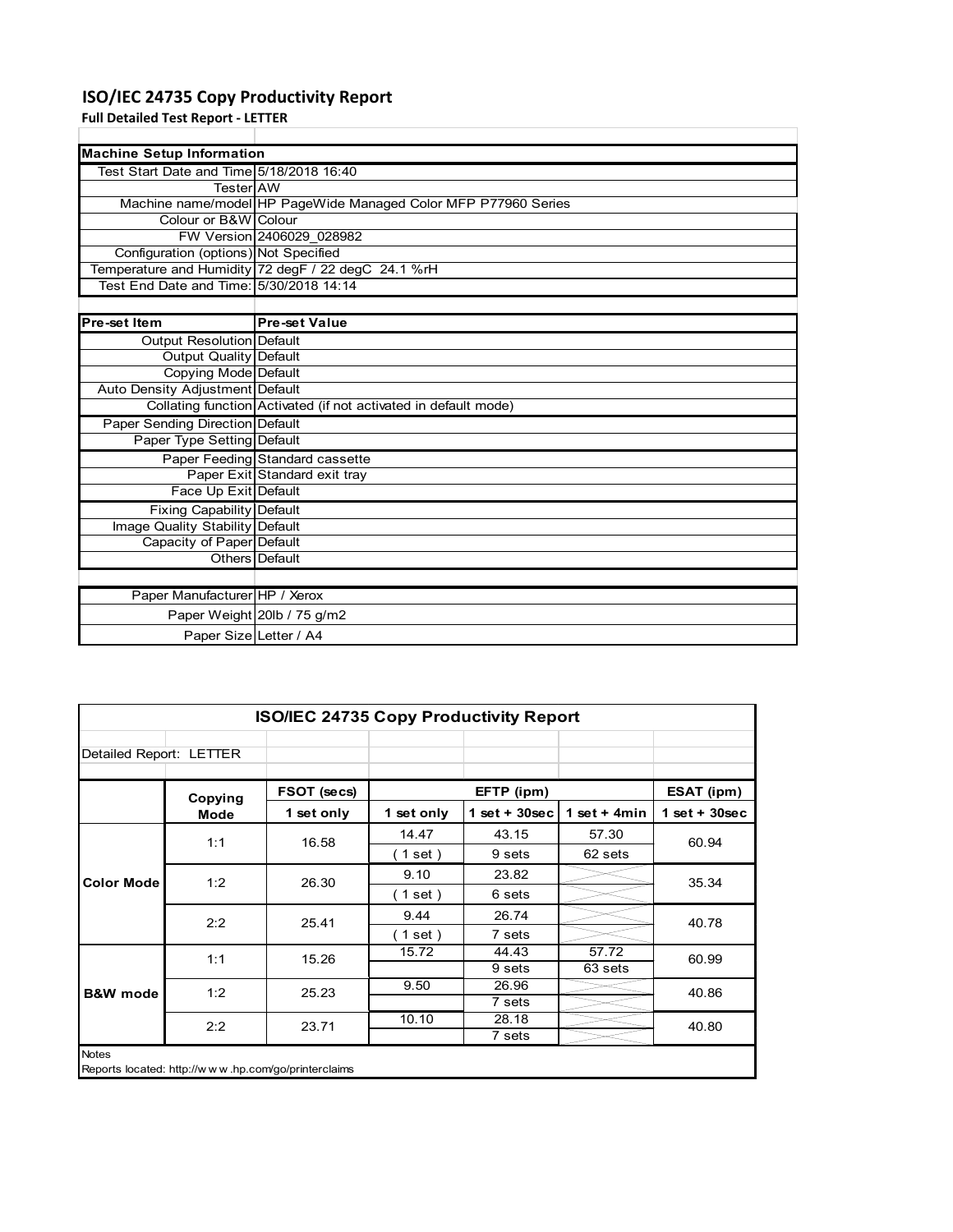## **ISO/IEC 24735 Copy Productivity Report**

**Full Detailed Test Report ‐ LETTER**

| <b>Machine Setup Information</b>         |                                                                 |  |  |  |
|------------------------------------------|-----------------------------------------------------------------|--|--|--|
| Test Start Date and Time 5/18/2018 16:40 |                                                                 |  |  |  |
| TesterIAW                                |                                                                 |  |  |  |
|                                          | Machine name/model HP PageWide Managed Color MFP P77960 Series  |  |  |  |
| Colour or B&W Colour                     |                                                                 |  |  |  |
|                                          | FW Version 2406029 028982                                       |  |  |  |
| Configuration (options) Not Specified    |                                                                 |  |  |  |
|                                          | Temperature and Humidity 72 degF / 22 degC 24.1 %rH             |  |  |  |
| Test End Date and Time: 15/30/2018 14:14 |                                                                 |  |  |  |
|                                          |                                                                 |  |  |  |
| <b>Pre-set Item</b>                      | <b>Pre-set Value</b>                                            |  |  |  |
| Output Resolution Default                |                                                                 |  |  |  |
| <b>Output Quality Default</b>            |                                                                 |  |  |  |
| Copying Mode Default                     |                                                                 |  |  |  |
| Auto Density Adjustment Default          |                                                                 |  |  |  |
|                                          | Collating function Activated (if not activated in default mode) |  |  |  |
| Paper Sending Direction Default          |                                                                 |  |  |  |
| Paper Type Setting Default               |                                                                 |  |  |  |
|                                          | Paper Feeding Standard cassette                                 |  |  |  |
|                                          | Paper Exit Standard exit tray                                   |  |  |  |
| Face Up Exit Default                     |                                                                 |  |  |  |
| Fixing Capability Default                |                                                                 |  |  |  |
| Image Quality Stability Default          |                                                                 |  |  |  |
| Capacity of Paper Default                |                                                                 |  |  |  |
|                                          | Others   Default                                                |  |  |  |
|                                          |                                                                 |  |  |  |
| Paper Manufacturer HP / Xerox            |                                                                 |  |  |  |
|                                          | Paper Weight 20lb / 75 g/m2                                     |  |  |  |
| Paper Size Letter / A4                   |                                                                 |  |  |  |

| <b>ISO/IEC 24735 Copy Productivity Report</b> |         |                                                     |            |                 |                |                 |
|-----------------------------------------------|---------|-----------------------------------------------------|------------|-----------------|----------------|-----------------|
| Detailed Report: LETTER                       |         |                                                     |            |                 |                |                 |
|                                               | Copying | FSOT (secs)                                         |            | EFTP (ipm)      |                | ESAT (ipm)      |
|                                               | Mode    | 1 set only                                          | 1 set only | $1$ set + 30sec | 1 set + $4min$ | $1$ set + 30sec |
|                                               | 1:1     | 16.58                                               | 14.47      | 43.15           | 57.30          | 60.94           |
|                                               |         |                                                     | (1 set)    | 9 sets          | 62 sets        |                 |
| <b>Color Mode</b>                             | 1:2     | 26.30                                               | 9.10       | 23.82           |                | 35.34           |
|                                               |         |                                                     | (1 set )   | 6 sets          |                |                 |
|                                               | 2:2     | 25.41                                               | 9.44       | 26.74           |                | 40.78           |
|                                               |         |                                                     | (1 set)    | 7 sets          |                |                 |
|                                               | 1:1     | 15.26                                               | 15.72      | 44.43           | 57.72          | 60.99           |
|                                               |         |                                                     |            | 9 sets          | 63 sets        |                 |
| <b>B&amp;W</b> mode                           | 1:2     | 25.23                                               | 9.50       | 26.96           |                | 40.86           |
|                                               |         |                                                     |            | 7 sets          |                |                 |
|                                               | 2:2     | 23.71                                               | 10.10      | 28.18           |                | 40.80           |
|                                               |         |                                                     |            | 7 sets          |                |                 |
| <b>Notes</b>                                  |         | Reports located: http://www.hp.com/go/printerclaims |            |                 |                |                 |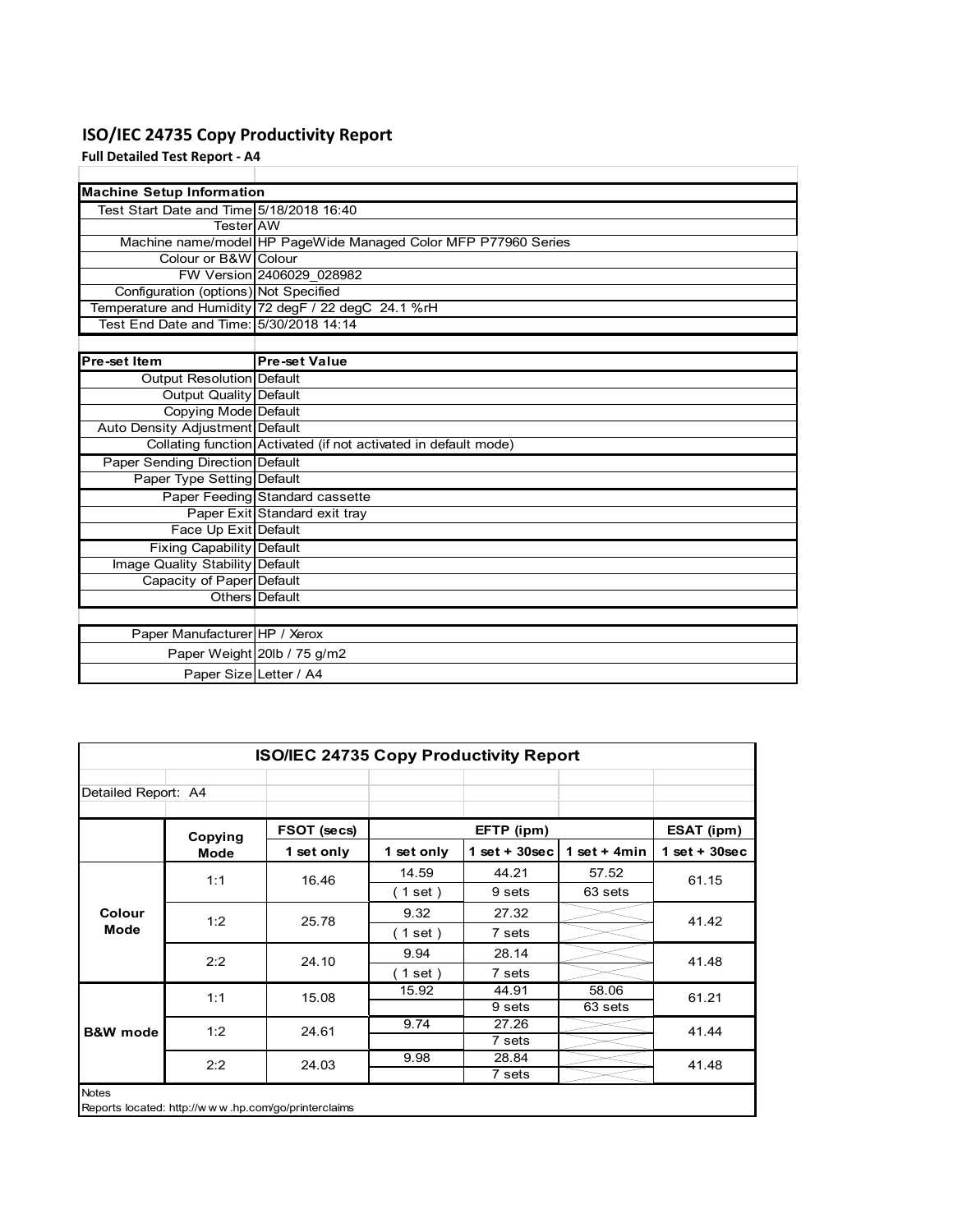# **ISO/IEC 24735 Copy Productivity Report**

**Full Detailed Test Report ‐ A4**

| <b>Machine Setup Information</b>         |                                                                 |
|------------------------------------------|-----------------------------------------------------------------|
| Test Start Date and Time 5/18/2018 16:40 |                                                                 |
| TesterlAW                                |                                                                 |
|                                          | Machine name/model HP PageWide Managed Color MFP P77960 Series  |
| Colour or B&W Colour                     |                                                                 |
|                                          | FW Version 2406029 028982                                       |
| Configuration (options) Not Specified    |                                                                 |
|                                          | Temperature and Humidity 72 degF / 22 degC 24.1 %rH             |
| Test End Date and Time: 5/30/2018 14:14  |                                                                 |
|                                          |                                                                 |
| Pre-set Item                             | <b>Pre-set Value</b>                                            |
| <b>Output Resolution Default</b>         |                                                                 |
| Output Quality Default                   |                                                                 |
| Copying Mode Default                     |                                                                 |
| Auto Density Adjustment Default          |                                                                 |
|                                          | Collating function Activated (if not activated in default mode) |
| <b>Paper Sending Direction Default</b>   |                                                                 |
| Paper Type Setting Default               |                                                                 |
|                                          | Paper Feeding Standard cassette                                 |
|                                          | Paper Exit Standard exit tray                                   |
| Face Up Exit Default                     |                                                                 |
| Fixing Capability Default                |                                                                 |
| Image Quality Stability Default          |                                                                 |
| Capacity of Paper Default                |                                                                 |
|                                          | Others Default                                                  |
|                                          |                                                                 |
| Paper Manufacturer HP / Xerox            |                                                                 |
|                                          | Paper Weight 20lb / 75 g/m2                                     |
| Paper Size Letter / A4                   |                                                                 |

|                                                                     | <b>ISO/IEC 24735 Copy Productivity Report</b> |             |            |                 |                 |                 |  |  |  |
|---------------------------------------------------------------------|-----------------------------------------------|-------------|------------|-----------------|-----------------|-----------------|--|--|--|
| Detailed Report: A4                                                 |                                               |             |            |                 |                 |                 |  |  |  |
|                                                                     | Copying                                       | FSOT (secs) |            | EFTP (ipm)      |                 | ESAT (ipm)      |  |  |  |
|                                                                     | Mode                                          | 1 set only  | 1 set only | $1$ set + 30sec | 1 set + 4 $min$ | $1$ set + 30sec |  |  |  |
|                                                                     | 1:1                                           | 16.46       | 14.59      | 44.21           | 57.52           | 61.15           |  |  |  |
|                                                                     |                                               |             | (1 set)    | 9 sets          | 63 sets         |                 |  |  |  |
| Colour                                                              | 1:2                                           | 25.78       | 9.32       | 27.32           |                 | 41.42           |  |  |  |
| Mode                                                                |                                               |             | (1 set)    | 7 sets          |                 |                 |  |  |  |
|                                                                     | 2:2                                           | 24.10       | 9.94       | 28.14           |                 | 41.48           |  |  |  |
|                                                                     |                                               |             | (1 set)    | 7 sets          |                 |                 |  |  |  |
|                                                                     | 1:1                                           | 15.08       | 15.92      | 44.91           | 58.06           | 61.21           |  |  |  |
|                                                                     |                                               |             |            | 9 sets          | 63 sets         |                 |  |  |  |
| <b>B&amp;W</b> mode                                                 | 1:2                                           | 24.61       | 9.74       | 27.26           |                 | 41.44           |  |  |  |
|                                                                     |                                               |             |            | 7 sets          |                 |                 |  |  |  |
|                                                                     | 2:2                                           | 24.03       | 9.98       | 28.84           |                 | 41.48           |  |  |  |
|                                                                     |                                               |             |            | 7 sets          |                 |                 |  |  |  |
| <b>Notes</b><br>Reports located: http://www.hp.com/go/printerclaims |                                               |             |            |                 |                 |                 |  |  |  |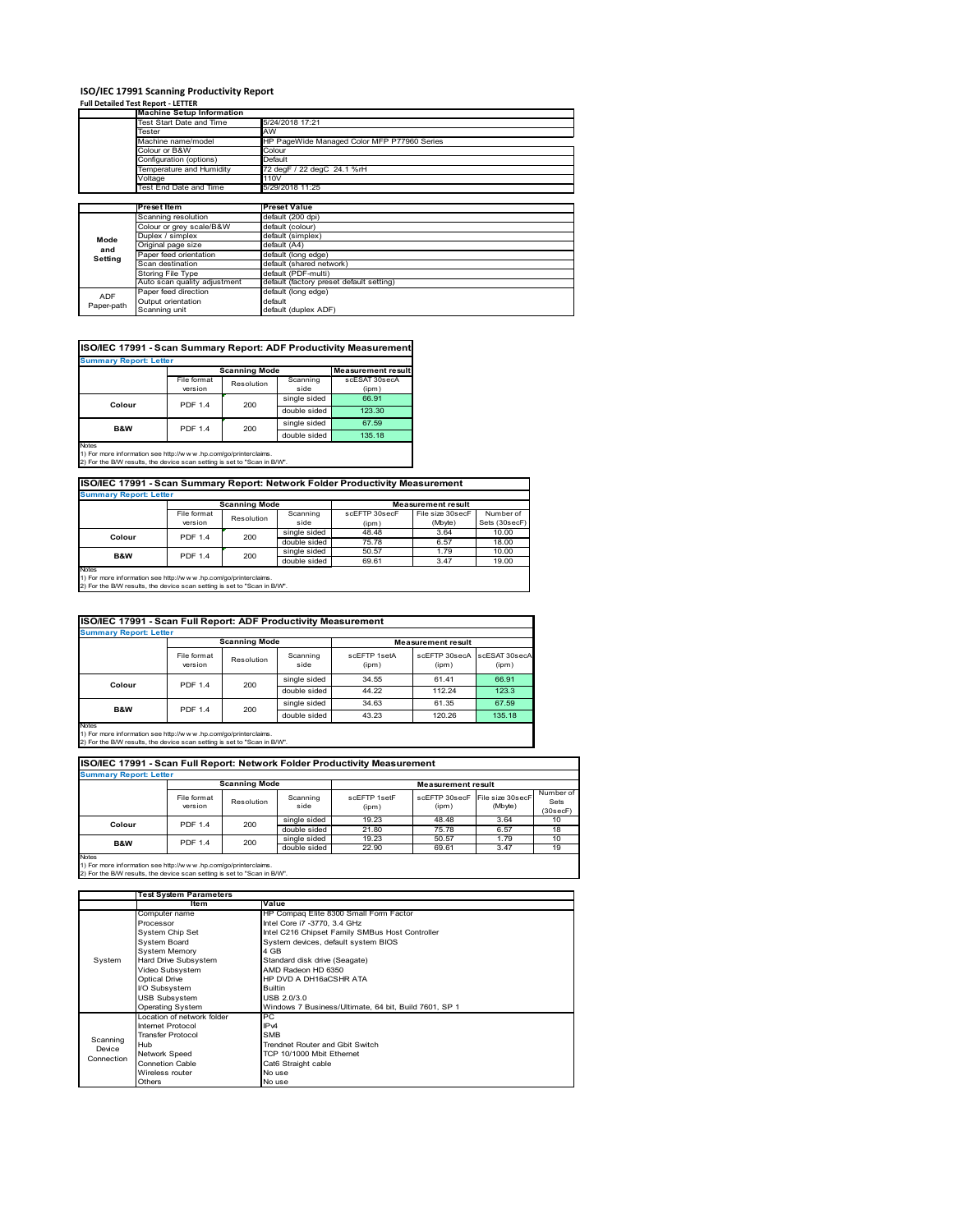# **ISO/IEC 17991 Scanning Productivity Report Full Detailed Test Report ‐ LETTER Machine Setup Information**

|            | <b>Machine Setup Information</b> |                                             |  |  |  |  |
|------------|----------------------------------|---------------------------------------------|--|--|--|--|
|            | Test Start Date and Time         | 5/24/2018 17:21                             |  |  |  |  |
|            | Tester                           | AW                                          |  |  |  |  |
|            | Machine name/model               | HP PageWide Managed Color MFP P77960 Series |  |  |  |  |
|            | Colour or B&W                    | Colour                                      |  |  |  |  |
|            | Configuration (options)          | Default                                     |  |  |  |  |
|            | Temperature and Humidity         | 72 degF / 22 degC 24.1 %rH                  |  |  |  |  |
|            | Voltage                          | 110V                                        |  |  |  |  |
|            | Test End Date and Time           | 5/29/2018 11:25                             |  |  |  |  |
|            |                                  |                                             |  |  |  |  |
|            | Preset Item                      | <b>Preset Value</b>                         |  |  |  |  |
|            | Scanning resolution              | default (200 dpi)                           |  |  |  |  |
|            | Colour or grey scale/B&W         | default (colour)                            |  |  |  |  |
| Mode       | Duplex / simplex                 | default (simplex)                           |  |  |  |  |
| and        | Original page size               | default (A4)                                |  |  |  |  |
| Setting    | Paper feed orientation           | default (long edge)                         |  |  |  |  |
|            | Scan destination                 | default (shared network)                    |  |  |  |  |
|            | Storing File Type                | default (PDF-multi)                         |  |  |  |  |
|            | Auto scan quality adjustment     | default (factory preset default setting)    |  |  |  |  |
| <b>ADF</b> | Paper feed direction             | default (long edge)                         |  |  |  |  |
| Paper-path | Output orientation               | default                                     |  |  |  |  |
|            | Scanning unit                    | default (duplex ADF)                        |  |  |  |  |

| <b>Scanning Mode</b><br><b>Measurement result</b><br>File format<br>Scanning<br>scESAT 30secA<br>Resolution<br>version<br>side<br>(ipm)<br>single sided<br>66.91<br><b>PDF 1.4</b><br>200<br>Colour<br>double sided<br>123.30<br>single sided<br>67.59<br><b>PDF 1.4</b><br>200<br><b>B&amp;W</b><br>double sided<br>135.18 | <b>Summary Report: Letter</b> |  |  |
|-----------------------------------------------------------------------------------------------------------------------------------------------------------------------------------------------------------------------------------------------------------------------------------------------------------------------------|-------------------------------|--|--|
|                                                                                                                                                                                                                                                                                                                             |                               |  |  |
|                                                                                                                                                                                                                                                                                                                             |                               |  |  |
|                                                                                                                                                                                                                                                                                                                             |                               |  |  |
|                                                                                                                                                                                                                                                                                                                             |                               |  |  |
|                                                                                                                                                                                                                                                                                                                             |                               |  |  |
|                                                                                                                                                                                                                                                                                                                             |                               |  |  |
|                                                                                                                                                                                                                                                                                                                             |                               |  |  |

### **ISO/IEC 17991 - Scan Summary Report: Network Folder Productivity Measurement**

| <b>Summary Report: Letter</b> |                      |            |              |                           |                  |               |  |  |
|-------------------------------|----------------------|------------|--------------|---------------------------|------------------|---------------|--|--|
|                               | <b>Scanning Mode</b> |            |              | <b>Measurement result</b> |                  |               |  |  |
|                               | File format          | Resolution | Scanning     | scEFTP 30secF             | File size 30secF | Number of     |  |  |
|                               | version              |            | side         | (ipm)                     | (Mbyte)          | Sets (30secF) |  |  |
| Colour                        | <b>PDF 1.4</b>       | 200        | single sided | 48.48                     | 3.64             | 10.00         |  |  |
|                               |                      |            | double sided | 75.78                     | 6.57             | 18.00         |  |  |
| B&W                           | <b>PDF 1.4</b>       | 200        | single sided | 50.57                     | 1.79             | 10.00         |  |  |
|                               |                      |            | double sided | 69.61                     | 3.47             | 19.00         |  |  |
| <b>Notes</b>                  |                      |            |              |                           |                  |               |  |  |

┓

Notes 1) For more information see http://w w w .hp.com/go/printerclaims. 2) For the B/W results, the device scan setting is set to "Scan in B/W".

| ISO/IEC 17991 - Scan Full Report: ADF Productivity Measurement |                        |            |                  |                           |                        |                        |  |  |
|----------------------------------------------------------------|------------------------|------------|------------------|---------------------------|------------------------|------------------------|--|--|
| <b>Summary Report: Letter</b>                                  |                        |            |                  |                           |                        |                        |  |  |
|                                                                | <b>Scanning Mode</b>   |            |                  | <b>Measurement result</b> |                        |                        |  |  |
|                                                                | File format<br>version | Resolution | Scanning<br>side | scFFTP 1setA<br>(ipm)     | scEETP 30secA<br>(ipm) | scESAT 30secA<br>(ipm) |  |  |
| Colour                                                         | <b>PDF 1.4</b><br>200  |            | single sided     | 34.55                     | 61.41                  | 66.91                  |  |  |
|                                                                |                        |            | double sided     | 44.22                     | 112.24                 | 123.3                  |  |  |
| <b>B&amp;W</b>                                                 | <b>PDF 1.4</b>         |            | single sided     | 34.63                     | 61.35                  | 67.59                  |  |  |
|                                                                |                        | 200        | double sided     | 43.23                     | 120.26                 | 135.18                 |  |  |
| <b>Notes</b>                                                   |                        |            |                  |                           |                        |                        |  |  |

Notes 1) For more information see http://w w w .hp.com/go/printerclaims. 2) For the B/W results, the device scan setting is set to "Scan in B/W".

| Number of<br>scEFTP 30secF File size 30secF |
|---------------------------------------------|
|                                             |
| Sets<br>(Mbyte)<br>(30 secF)                |
| 3.64<br>10                                  |
| 18<br>6.57                                  |
| 10<br>1.79                                  |
| 19<br>3.47                                  |
|                                             |

1) For more information see http://w w w .hp.com/go/printerclaims. 2) For the B/W results, the device scan setting is set to "Scan in B/W".

|            | Test System Parameters      |                                                       |  |  |  |  |
|------------|-----------------------------|-------------------------------------------------------|--|--|--|--|
|            | <b>Item</b>                 | Value                                                 |  |  |  |  |
|            | Computer name               | HP Compaq Elite 8300 Small Form Factor                |  |  |  |  |
|            | Processor                   | Intel Core i7 -3770, 3.4 GHz                          |  |  |  |  |
|            | System Chip Set             | Intel C216 Chipset Family SMBus Host Controller       |  |  |  |  |
|            | <b>System Board</b>         | System devices, default system BIOS                   |  |  |  |  |
|            | <b>System Memory</b>        | 4 GB                                                  |  |  |  |  |
| System     | Hard Drive Subsystem        | Standard disk drive (Seagate)                         |  |  |  |  |
|            | Video Subsystem             | AMD Radeon HD 6350                                    |  |  |  |  |
|            | <b>Optical Drive</b>        | HP DVD A DH16aCSHR ATA                                |  |  |  |  |
|            | I/O Subsystem               | <b>Builtin</b>                                        |  |  |  |  |
|            | <b>USB Subsystem</b>        | USB 2.0/3.0                                           |  |  |  |  |
|            | Operating System            | Windows 7 Business/Ultimate, 64 bit, Build 7601, SP 1 |  |  |  |  |
|            | I ocation of network folder | PC.                                                   |  |  |  |  |
|            | Internet Protocol           | IP <sub>v4</sub>                                      |  |  |  |  |
| Scanning   | <b>Transfer Protocol</b>    | <b>SMB</b>                                            |  |  |  |  |
| Device     | Hub                         | Trendnet Router and Gbit Switch                       |  |  |  |  |
| Connection | <b>Network Speed</b>        | TCP 10/1000 Mbit Ethernet                             |  |  |  |  |
|            | <b>Connetion Cable</b>      | Cat6 Straight cable                                   |  |  |  |  |
|            | Wireless router             | No use                                                |  |  |  |  |
|            | Others                      | No use                                                |  |  |  |  |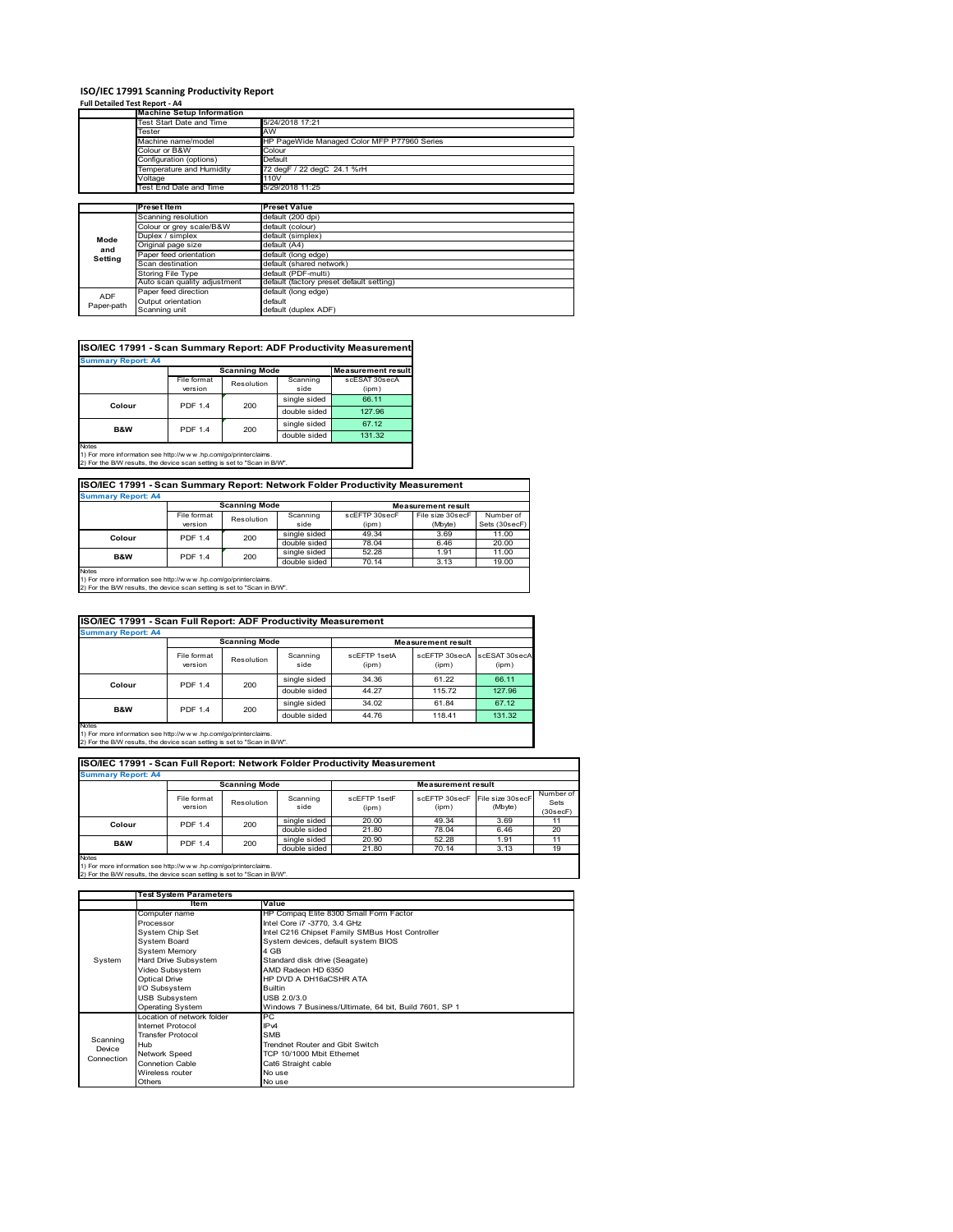### **ISO/IEC 17991 Scanning Productivity Report**

### **Full Detailed Test Report ‐ A4**

|            | <b>Machine Setup Information</b> |                                             |  |  |  |
|------------|----------------------------------|---------------------------------------------|--|--|--|
|            | Test Start Date and Time         | 5/24/2018 17:21                             |  |  |  |
|            | Tester                           | AW                                          |  |  |  |
|            | Machine name/model               | HP PageWide Managed Color MFP P77960 Series |  |  |  |
|            | Colour or B&W                    | Colour                                      |  |  |  |
|            | Configuration (options)          | Default                                     |  |  |  |
|            | Temperature and Humidity         | 72 degF / 22 degC 24.1 %rH                  |  |  |  |
|            | Voltage                          | 110V                                        |  |  |  |
|            | Test End Date and Time           | 5/29/2018 11:25                             |  |  |  |
|            |                                  |                                             |  |  |  |
|            | <b>Preset Item</b>               | <b>Preset Value</b>                         |  |  |  |
|            | Scanning resolution              | default (200 dpi)                           |  |  |  |
|            | Colour or grey scale/B&W         | default (colour)                            |  |  |  |
| Mode       | Duplex / simplex                 | default (simplex)                           |  |  |  |
| and        | Original page size               | default (A4)                                |  |  |  |
| Setting    | Paper feed orientation           | default (long edge)                         |  |  |  |
|            | Scan destination                 | default (shared network)                    |  |  |  |
|            | Storing File Type                | default (PDF-multi)                         |  |  |  |
|            | Auto scan quality adjustment     | default (factory preset default setting)    |  |  |  |
| <b>ADF</b> | Paper feed direction             | default (long edge)                         |  |  |  |
| Paper-path | Output orientation               | default                                     |  |  |  |
|            | Scanning unit                    | default (duplex ADF)                        |  |  |  |

| ISO/IEC 17991 - Scan Summary Report: ADF Productivity Measurement |                |                      |              |                           |  |  |  |  |  |
|-------------------------------------------------------------------|----------------|----------------------|--------------|---------------------------|--|--|--|--|--|
| <b>Summary Report: A4</b>                                         |                |                      |              |                           |  |  |  |  |  |
|                                                                   |                | <b>Scanning Mode</b> |              | <b>Measurement result</b> |  |  |  |  |  |
|                                                                   | File format    | Resolution           | Scanning     | scESAT 30secA             |  |  |  |  |  |
|                                                                   | version        |                      | side         | (ipm)                     |  |  |  |  |  |
| Colour                                                            | <b>PDF 1.4</b> | 200                  | single sided | 66.11                     |  |  |  |  |  |
|                                                                   |                |                      | double sided | 127.96                    |  |  |  |  |  |
| <b>B&amp;W</b>                                                    | <b>PDF 1.4</b> | 200                  | single sided | 67.12                     |  |  |  |  |  |
|                                                                   |                |                      | double sided | 131.32                    |  |  |  |  |  |
| <b>Notes</b>                                                      |                |                      |              |                           |  |  |  |  |  |

Notes 1) For more information see http://w w w .hp.com/go/printerclaims. 2) For the B/W results, the device scan setting is set to "Scan in B/W".

### **ISO/IEC 17991 - Scan Summary Report: Network Folder Productivity Measurement**

| <b>Summary Report: A4</b> |                                  |            |              |                           |                  |               |
|---------------------------|----------------------------------|------------|--------------|---------------------------|------------------|---------------|
|                           | <b>Scanning Mode</b>             |            |              | <b>Measurement result</b> |                  |               |
|                           | File format                      | Resolution | Scanning     | scEFTP 30secF             | File size 30secF | Number of     |
|                           | version                          |            | side         | (ipm)                     | (Mbyte)          | Sets (30secF) |
| Colour                    | <b>PDF 1.4</b>                   | 200        | single sided | 49.34                     | 3.69             | 11.00         |
|                           |                                  |            | double sided | 78.04                     | 6.46             | 20.00         |
|                           | <b>B&amp;W</b><br><b>PDF 1.4</b> | 200        | single sided | 52.28                     | 1.91             | 11.00         |
|                           |                                  |            | double sided | 70.14                     | 3.13             | 19.00         |
| <b>Notes</b>              |                                  |            |              |                           |                  |               |

٦

Notes 1) For more information see http://w w w .hp.com/go/printerclaims. 2) For the B/W results, the device scan setting is set to "Scan in B/W".

| ISO/IEC 17991 - Scan Full Report: ADF Productivity Measurement |                        |                       |                  |                           |                        |                        |  |  |
|----------------------------------------------------------------|------------------------|-----------------------|------------------|---------------------------|------------------------|------------------------|--|--|
| <b>Summary Report: A4</b>                                      |                        |                       |                  |                           |                        |                        |  |  |
|                                                                | <b>Scanning Mode</b>   |                       |                  | <b>Measurement result</b> |                        |                        |  |  |
|                                                                | File format<br>version | Resolution            | Scanning<br>side | scFFTP 1setA<br>(ipm)     | scEETP 30secA<br>(ipm) | scESAT 30secA<br>(ipm) |  |  |
| Colour                                                         |                        | <b>PDF 1.4</b><br>200 | single sided     | 34.36                     | 61.22                  | 66.11                  |  |  |
|                                                                |                        |                       | double sided     | 44.27                     | 115.72                 | 127.96                 |  |  |
| <b>B&amp;W</b>                                                 | <b>PDF 1.4</b>         | 200                   | single sided     | 34.02                     | 61.84                  | 67.12                  |  |  |
|                                                                |                        |                       | double sided     | 44.76                     | 118.41                 | 131.32                 |  |  |
| <b>Notes</b>                                                   |                        |                       |                  |                           |                        |                        |  |  |

Notes 1) For more information see http://w w w .hp.com/go/printerclaims. 2) For the B/W results, the device scan setting is set to "Scan in B/W".

### **ISO/IEC 17991 - Scan Full Report: Network Folder Productivity Measurement**

| <b>Summary Report: A4</b>                                                |                                         |                      |                  |                       |                                         |         |                               |  |  |
|--------------------------------------------------------------------------|-----------------------------------------|----------------------|------------------|-----------------------|-----------------------------------------|---------|-------------------------------|--|--|
|                                                                          |                                         | <b>Scanning Mode</b> |                  |                       | <b>Measurement result</b>               |         |                               |  |  |
|                                                                          | File format<br>version                  | Resolution           | Scanning<br>side | scFFTP 1setF<br>(ipm) | scEFTP 30secF File size 30secF<br>(ipm) | (Mbyte) | Number of<br>Sets<br>(30secF) |  |  |
|                                                                          | 200<br>Colour<br><b>PDF 1.4</b>         |                      | single sided     | 20.00                 | 49.34                                   | 3.69    | 11                            |  |  |
|                                                                          |                                         |                      | double sided     | 21.80                 | 78.04                                   | 6.46    | 20                            |  |  |
|                                                                          | 200<br><b>B&amp;W</b><br><b>PDF 1.4</b> |                      | single sided     | 20.90                 | 52.28                                   | 1.91    | 11                            |  |  |
|                                                                          |                                         |                      | double sided     | 21.80                 | 70.14                                   | 3.13    | 19                            |  |  |
| <b>Notes</b>                                                             |                                         |                      |                  |                       |                                         |         |                               |  |  |
| 1) For more information see http://www.hp.com/go/printerclaims.          |                                         |                      |                  |                       |                                         |         |                               |  |  |
| 2) For the B/W results, the device scan setting is set to "Scan in B/W". |                                         |                      |                  |                       |                                         |         |                               |  |  |

|            | Test System Parameters    |                                                       |  |  |  |
|------------|---------------------------|-------------------------------------------------------|--|--|--|
|            | Item                      | Value                                                 |  |  |  |
|            | Computer name             | HP Compaq Elite 8300 Small Form Factor                |  |  |  |
|            | Processor                 | Intel Core i7 -3770, 3.4 GHz                          |  |  |  |
|            | System Chip Set           | Intel C216 Chipset Family SMBus Host Controller       |  |  |  |
|            | <b>System Board</b>       | System devices, default system BIOS                   |  |  |  |
|            | <b>System Memory</b>      | 4 GB                                                  |  |  |  |
| System     | Hard Drive Subsystem      | Standard disk drive (Seagate)                         |  |  |  |
|            | Video Subsystem           | AMD Radeon HD 6350                                    |  |  |  |
|            | <b>Optical Drive</b>      | HP DVD A DH16aCSHR ATA                                |  |  |  |
|            | I/O Subsystem             | <b>Builtin</b>                                        |  |  |  |
|            | <b>USB Subsystem</b>      | USB 2.0/3.0                                           |  |  |  |
|            | <b>Operating System</b>   | Windows 7 Business/Ultimate, 64 bit, Build 7601, SP 1 |  |  |  |
|            | ocation of network folder | PC.                                                   |  |  |  |
|            | Internet Protocol         | IP <sub>v4</sub>                                      |  |  |  |
| Scanning   | <b>Transfer Protocol</b>  | <b>SMB</b>                                            |  |  |  |
| Device     | Hub                       | Trendnet Router and Gbit Switch                       |  |  |  |
| Connection | Network Speed             | TCP 10/1000 Mbit Ethernet                             |  |  |  |
|            | <b>Connetion Cable</b>    | Cat6 Straight cable                                   |  |  |  |
|            | Wireless router           | No use                                                |  |  |  |
|            | Others                    | No use                                                |  |  |  |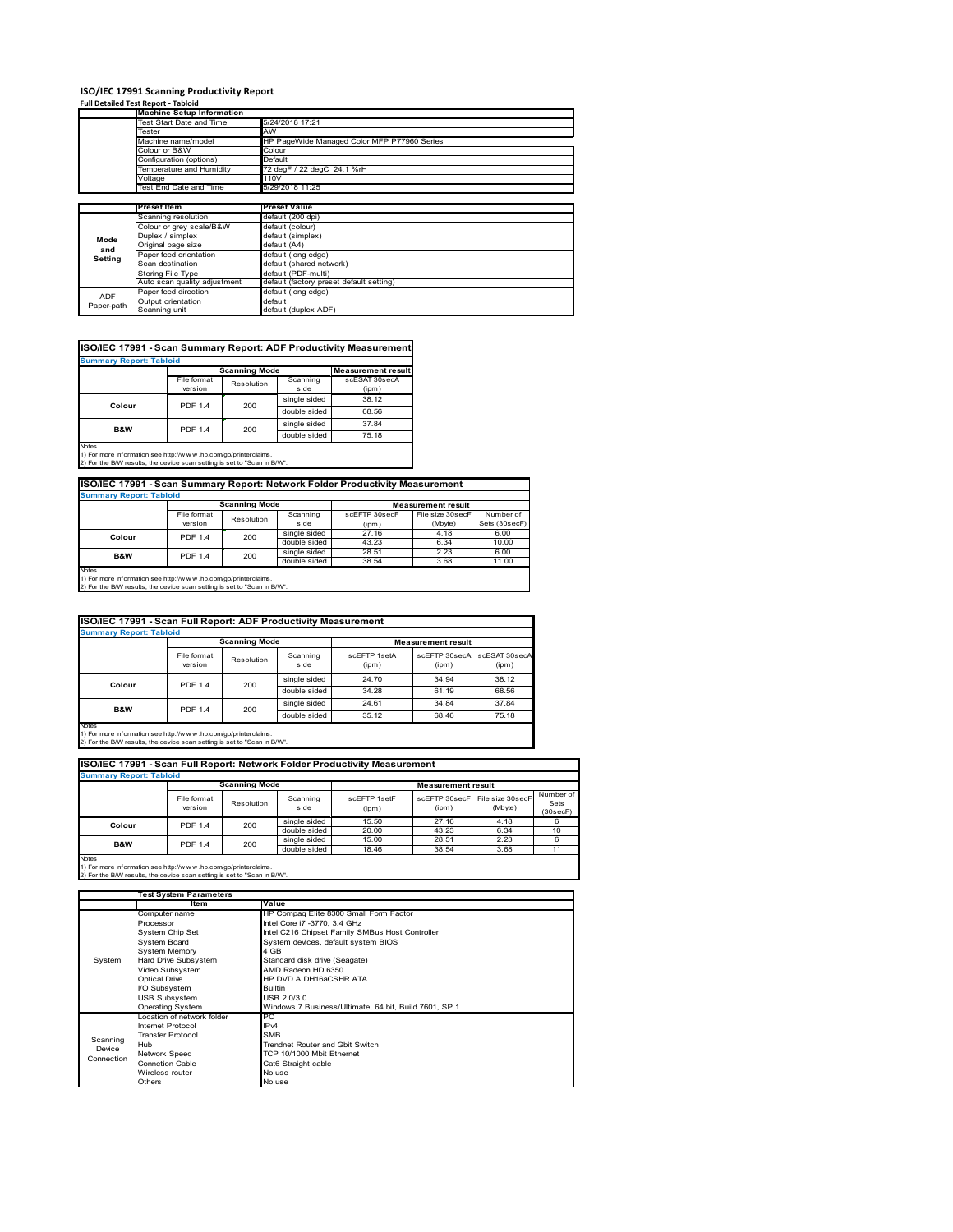# **ISO/IEC 17991 Scanning Productivity Report Full Detailed Test Report ‐ Tabloid**

|            | <b>Machine Setup Information</b> |                                             |  |  |  |  |  |
|------------|----------------------------------|---------------------------------------------|--|--|--|--|--|
|            | Test Start Date and Time         | 5/24/2018 17:21                             |  |  |  |  |  |
|            | Tester                           | AW                                          |  |  |  |  |  |
|            | Machine name/model               | HP PageWide Managed Color MFP P77960 Series |  |  |  |  |  |
|            | Colour or B&W                    | Colour                                      |  |  |  |  |  |
|            | Configuration (options)          | Default                                     |  |  |  |  |  |
|            | Temperature and Humidity         | 72 degF / 22 degC 24.1 %rH                  |  |  |  |  |  |
|            | Voltage                          | 110V                                        |  |  |  |  |  |
|            | Test End Date and Time           | 5/29/2018 11:25                             |  |  |  |  |  |
|            |                                  |                                             |  |  |  |  |  |
|            | <b>Preset Item</b>               | <b>Preset Value</b>                         |  |  |  |  |  |
|            | Scanning resolution              | default (200 dpi)                           |  |  |  |  |  |
|            | Colour or grey scale/B&W         | default (colour)                            |  |  |  |  |  |
| Mode       | Duplex / simplex                 | default (simplex)                           |  |  |  |  |  |
| and        | Original page size               | default (A4)                                |  |  |  |  |  |
| Setting    | Paper feed orientation           | default (long edge)                         |  |  |  |  |  |
|            | Scan destination                 | default (shared network)                    |  |  |  |  |  |
|            | Storing File Type                | default (PDF-multi)                         |  |  |  |  |  |
|            | Auto scan quality adjustment     | default (factory preset default setting)    |  |  |  |  |  |
| <b>ADF</b> | Paper feed direction             | default (long edge)                         |  |  |  |  |  |
| Paper-path | Output orientation               | default                                     |  |  |  |  |  |
|            | Scanning unit                    | default (duplex ADF)                        |  |  |  |  |  |

| <b>Summary Report: Tabloid</b> |                |                      |              |                           |
|--------------------------------|----------------|----------------------|--------------|---------------------------|
|                                |                | <b>Scanning Mode</b> |              | <b>Measurement result</b> |
|                                | File format    | Resolution           | Scanning     | scESAT 30secA             |
|                                | version        |                      | side         | (ipm)                     |
| Colour                         | <b>PDF 1.4</b> | 200                  | single sided | 38.12                     |
|                                |                |                      | double sided | 68.56                     |
| <b>B&amp;W</b>                 | <b>PDF 1.4</b> | 200                  | single sided | 37.84                     |
|                                |                | double sided         |              | 75.18                     |

1) For more information see http://w w w .hp.com/go/printerclaims. 2) For the B/W results, the device scan setting is set to "Scan in B/W".

| ISO/IEC 17991 - Scan Summary Report: Network Folder Productivity Measurement |                      |            |              |                           |                  |               |  |  |
|------------------------------------------------------------------------------|----------------------|------------|--------------|---------------------------|------------------|---------------|--|--|
| <b>Summary Report: Tabloid</b>                                               |                      |            |              |                           |                  |               |  |  |
|                                                                              | <b>Scanning Mode</b> |            |              | <b>Measurement result</b> |                  |               |  |  |
|                                                                              | File format          | Resolution | Scanning     | scEFTP 30secF             | File size 30secF | Number of     |  |  |
|                                                                              | version              |            | side         | (ipm)                     | (Mbyte)          | Sets (30secF) |  |  |
| Colour                                                                       | <b>PDF 1.4</b>       | 200        | single sided | 27.16                     | 4.18             | 6.00          |  |  |
|                                                                              |                      |            | double sided | 43.23                     | 6.34             | 10.00         |  |  |
| <b>B&amp;W</b>                                                               | <b>PDF 1.4</b>       | 200        | single sided | 28.51                     | 2.23             | 6.00          |  |  |
|                                                                              |                      |            | double sided | 38.54                     | 3.68             | 11.00         |  |  |

Notes 1) For more information see http://w w w .hp.com/go/printerclaims. 2) For the B/W results, the device scan setting is set to "Scan in B/W".

|                                | ISO/IEC 17991 - Scan Full Report: ADF Productivity Measurement |                              |                  |                       |                                      |       |  |  |
|--------------------------------|----------------------------------------------------------------|------------------------------|------------------|-----------------------|--------------------------------------|-------|--|--|
| <b>Summary Report: Tabloid</b> |                                                                |                              |                  |                       |                                      |       |  |  |
|                                |                                                                | <b>Scanning Mode</b>         |                  |                       | <b>Measurement result</b>            |       |  |  |
|                                | File format<br>version                                         | Resolution                   | Scanning<br>side | scFFTP 1setA<br>(ipm) | scEFTP 30secA ScESAT 30secA<br>(ipm) | (ipm) |  |  |
| Colour                         | <b>PDF 1.4</b>                                                 | 200                          | single sided     | 24.70                 | 34.94                                | 38.12 |  |  |
|                                |                                                                |                              | double sided     | 34.28                 | 61.19                                | 68.56 |  |  |
| <b>B&amp;W</b>                 | <b>PDF 1.4</b>                                                 |                              | single sided     | 24.61                 | 34.84                                | 37.84 |  |  |
|                                |                                                                | 200<br>double sided<br>35.12 |                  |                       | 68.46                                | 75.18 |  |  |
| <b>Notes</b>                   |                                                                |                              |                  |                       |                                      |       |  |  |

Notes 1) For more information see http://w w w .hp.com/go/printerclaims. 2) For the B/W results, the device scan setting is set to "Scan in B/W".

### File format **Scanning Mode Measurement result** ummary Repor<mark>t: Tabl</mark>o **ISO/IEC 17991 - Scan Full Report: Network Folder Productivity Measurement**

|                | File format<br>version                                                | Resolution | Scanning<br>side | scEFTP 1setF<br>(ipm) | scEFTP 30secF File size 30secF<br>(ipm) | (Mbyte) | Number of<br>Sets<br>(30secF) |  |  |  |  |
|----------------|-----------------------------------------------------------------------|------------|------------------|-----------------------|-----------------------------------------|---------|-------------------------------|--|--|--|--|
| Colour         | <b>PDF 1.4</b>                                                        | 200        | single sided     | 15.50                 | 27.16                                   | 4.18    |                               |  |  |  |  |
|                |                                                                       |            | double sided     | 20.00                 | 43.23                                   | 6.34    | 10                            |  |  |  |  |
| <b>B&amp;W</b> | <b>PDF 1.4</b>                                                        | 200        | single sided     | 15.00                 | 28.51                                   | 2.23    |                               |  |  |  |  |
|                |                                                                       |            | double sided     | 18.46                 | 38.54                                   | 3.68    |                               |  |  |  |  |
| <b>Notes</b>   |                                                                       |            |                  |                       |                                         |         |                               |  |  |  |  |
|                | 1) Eas more information can letter/hereous by coming insistencialment |            |                  |                       |                                         |         |                               |  |  |  |  |

1) For more information see http://w w w .hp.com/go/printerclaims. 2) For the B/W results, the device scan setting is set to "Scan in B/W".

|            | Test System Parameters      |                                                       |  |  |  |  |
|------------|-----------------------------|-------------------------------------------------------|--|--|--|--|
|            | Item                        | Value                                                 |  |  |  |  |
|            | Computer name               | HP Compaq Elite 8300 Small Form Factor                |  |  |  |  |
|            | Processor                   | Intel Core i7 -3770, 3.4 GHz                          |  |  |  |  |
|            | System Chip Set             | Intel C216 Chipset Family SMBus Host Controller       |  |  |  |  |
|            | <b>System Board</b>         | System devices, default system BIOS                   |  |  |  |  |
|            | <b>System Memory</b>        | 4 GB                                                  |  |  |  |  |
| System     | Hard Drive Subsystem        | Standard disk drive (Seagate)                         |  |  |  |  |
|            | Video Subsystem             | AMD Radeon HD 6350                                    |  |  |  |  |
|            | Optical Drive               | HP DVD A DH16aCSHR ATA                                |  |  |  |  |
|            | I/O Subsystem               | <b>Builtin</b>                                        |  |  |  |  |
|            | <b>USB Subsystem</b>        | USB 2.0/3.0                                           |  |  |  |  |
|            | <b>Operating System</b>     | Windows 7 Business/Ultimate, 64 bit, Build 7601, SP 1 |  |  |  |  |
|            | I ocation of network folder | PC.                                                   |  |  |  |  |
|            | Internet Protocol           | IP <sub>v4</sub>                                      |  |  |  |  |
| Scanning   | <b>Transfer Protocol</b>    | <b>SMB</b>                                            |  |  |  |  |
| Device     | Hub                         | Trendnet Router and Gbit Switch                       |  |  |  |  |
| Connection | Network Speed               | TCP 10/1000 Mbit Ethernet                             |  |  |  |  |
|            | <b>Connetion Cable</b>      | Cat6 Straight cable                                   |  |  |  |  |
|            | Wireless router             | No use                                                |  |  |  |  |
|            | Others                      | No use                                                |  |  |  |  |